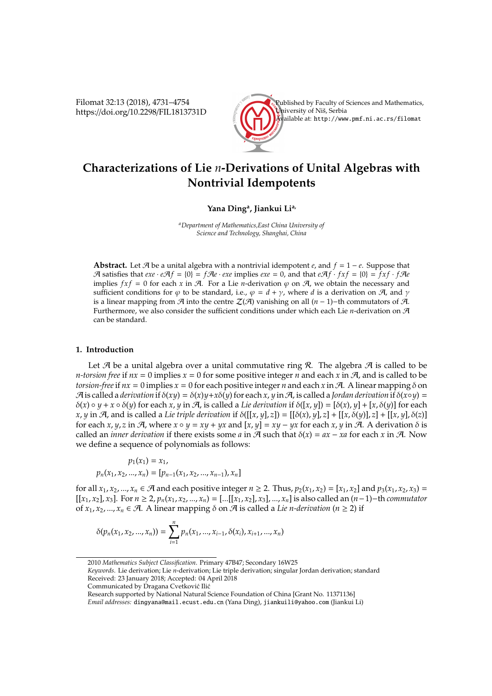Filomat 32:13 (2018), 4731–4754 https://doi.org/10.2298/FIL1813731D



# **Characterizations of Lie** *n***-Derivations of Unital Algebras with Nontrivial Idempotents**

# **Yana Ding<sup>a</sup> , Jiankui Lia,**

*<sup>a</sup>Department of Mathematics,East China University of Science and Technology, Shanghai, China*

**Abstract.** Let  $\mathcal{A}$  be a unital algebra with a nontrivial idempotent  $e$ , and  $f = 1 - e$ . Suppose that A satisfies that  $exe \cdot e\mathcal{A}f = \{0\} = f\mathcal{A}e \cdot exe$  implies  $exe = 0$ , and that  $e\mathcal{A}f \cdot fxf = \{0\} = fxf \cdot f\mathcal{A}e$ implies  $f x f = 0$  for each *x* in A. For a Lie *n*-derivation  $\varphi$  on A, we obtain the necessary and sufficient conditions for  $\varphi$  to be standard, i.e.,  $\varphi = d + \gamma$ , where *d* is a derivation on  $\varphi$ , and  $\gamma$ is a linear mapping from  $\mathcal{A}$  into the centre  $\mathcal{Z}(\mathcal{A})$  vanishing on all  $(n-1)$ −th commutators of  $\mathcal{A}$ . Furthermore, we also consider the sufficient conditions under which each Lie *n*-derivation on A can be standard.

## **1. Introduction**

Let  $A$  be a unital algebra over a unital commutative ring  $R$ . The algebra  $A$  is called to be *n*-torsion free if  $nx = 0$  implies  $x = 0$  for some positive integer *n* and each *x* in  $A$ , and is called to be *torsion-free* if  $nx = 0$  implies  $x = 0$  for each positive integer *n* and each *x* in A. A linear mapping  $\delta$  on  $\mathcal{A}$  is called a *derivation* if  $\delta(xy) = \delta(x)y + x\delta(y)$  for each x, y in  $\mathcal{A}$ , is called a *Jordan derivation* if  $\delta(x \circ y) =$  $\delta(x) \circ y + x \circ \delta(y)$  for each *x*, *y* in *A*, is called a *Lie derivation* if  $\delta([x, y]) = [\delta(x), y] + [x, \delta(y)]$  for each  $x, y$  in A, and is called a *Lie triple derivation* if  $\delta([x, y], z] = [\delta(x), y], z] + [[x, \delta(y)], z] + [[x, y], \delta(z)]$ for each *x*, *y*, *z* in  $\mathcal{A}$ , where  $x \circ y = xy + yx$  and  $[x, y] = xy - yx$  for each  $x, y$  in  $\mathcal{A}$ . A derivation  $\delta$  is called an *inner derivation* if there exists some *a* in  $\mathcal{A}$  such that  $\delta(x) = ax - xa$  for each *x* in  $\mathcal{A}$ . Now we define a sequence of polynomials as follows:

$$
p_1(x_1) = x_1,
$$
  

$$
p_n(x_1, x_2, ..., x_n) = [p_{n-1}(x_1, x_2, ..., x_{n-1}), x_n]
$$

for all  $x_1, x_2, ..., x_n \in \mathcal{A}$  and each positive integer  $n \geq 2$ . Thus,  $p_2(x_1, x_2) = [x_1, x_2]$  and  $p_3(x_1, x_2, x_3) =$  $[[x_1, x_2], x_3]$ . For  $n \ge 2$ ,  $p_n(x_1, x_2, ..., x_n) =$   $[...[[x_1, x_2], x_3], ..., x_n]$  is also called an  $(n-1)$ -th commutator of  $x_1, x_2, ..., x_n \in \mathcal{A}$ . A linear mapping  $\delta$  on  $\mathcal{A}$  is called a *Lie n-derivation* ( $n \ge 2$ ) if

$$
\delta(p_n(x_1, x_2, ..., x_n)) = \sum_{i=1}^n p_n(x_1, ..., x_{i-1}, \delta(x_i), x_{i+1}, ..., x_n)
$$

*Keywords*. Lie derivation; Lie *n*-derivation; Lie triple derivation; singular Jordan derivation; standard Received: 23 January 2018; Accepted: 04 April 2018

Research supported by National Natural Science Foundation of China [Grant No. 11371136]

<sup>2010</sup> *Mathematics Subject Classification*. Primary 47B47; Secondary 16W25

Communicated by Dragana Cvetković Ilić

*Email addresses:* dingyana@mail.ecust.edu.cn (Yana Ding), jiankuili@yahoo.com (Jiankui Li)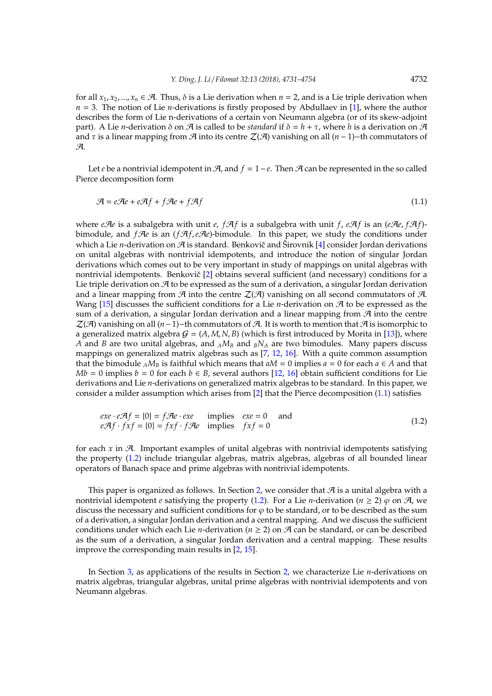for all  $x_1, x_2, ..., x_n \in \mathcal{A}$ . Thus,  $\delta$  is a Lie derivation when  $n = 2$ , and is a Lie triple derivation when  $n = 3$ . The notion of Lie *n*-derivations is firstly proposed by Abdullaev in [\[1\]](#page-22-0), where the author describes the form of Lie n-derivations of a certain von Neumann algebra (or of its skew-adjoint part). A Lie *n*-derivation  $\delta$  on  $\mathcal A$  is called to be *standard* if  $\delta = h + \tau$ , where *h* is a derivation on  $\mathcal A$ and  $\tau$  is a linear mapping from  $\mathcal{A}$  into its centre  $\mathcal{Z}(\mathcal{A})$  vanishing on all  $(n-1)$ –th commutators of A.

Let *e* be a nontrivial idempotent in  $\mathcal{A}$ , and  $f = 1 - e$ . Then  $\mathcal{A}$  can be represented in the so called Pierce decomposition form

<span id="page-1-0"></span>
$$
\mathcal{A} = e\mathcal{A}e + e\mathcal{A}f + f\mathcal{A}e + f\mathcal{A}f \tag{1.1}
$$

where *eAe* is a subalgebra with unit *e*,  $f \mathcal{A} f$  is a subalgebra with unit *f*,  $e \mathcal{A} f$  is an ( $e \mathcal{A} e$ ,  $f \mathcal{A} f$ )bimodule, and *fRe* is an (*fRf,eRe*)-bimodule. In this paper, we study the conditions under which a Lie *n*-derivation on  $\mathcal{A}$  is standard. Benkovič and Širovnik [[4\]](#page-22-1) consider Jordan derivations on unital algebras with nontrivial idempotents, and introduce the notion of singular Jordan derivations which comes out to be very important in study of mappings on unital algebras with nontrivial idempotents. Benkovič [[2\]](#page-22-2) obtains several sufficient (and necessary) conditions for a Lie triple derivation on  $\mathcal A$  to be expressed as the sum of a derivation, a singular Jordan derivation and a linear mapping from  $\mathcal{A}$  into the centre  $\mathcal{Z}(\mathcal{A})$  vanishing on all second commutators of  $\mathcal{A}$ . Wang [\[15\]](#page-23-0) discusses the sufficient conditions for a Lie *n*-derivation on  $\mathcal A$  to be expressed as the sum of a derivation, a singular Jordan derivation and a linear mapping from  $\mathcal{A}$  into the centre  $\mathcal{Z}(\mathcal{A})$  vanishing on all  $(n-1)$ −th commutators of  $\mathcal{A}$ . It is worth to mention that  $\mathcal{A}$  is isomorphic to a generalized matrix algebra  $G = (A, M, N, B)$  (which is first introduced by Morita in [\[13\]](#page-23-1)), where *A* and *B* are two unital algebras, and *<sup>A</sup>M<sup>B</sup>* and *<sup>B</sup>N<sup>A</sup>* are two bimodules. Many papers discuss mappings on generalized matrix algebras such as [\[7,](#page-22-3) [12,](#page-23-2) [16\]](#page-23-3). With a quite common assumption that the bimodule  $_A M_B$  is faithful which means that  $aM = 0$  implies  $a = 0$  for each  $a \in A$  and that *Mb* = 0 implies *b* = 0 for each *b*  $\in$  *B*, several authors [\[12,](#page-23-2) [16\]](#page-23-3) obtain sufficient conditions for Lie derivations and Lie *n*-derivations on generalized matrix algebras to be standard. In this paper, we consider a milder assumption which arises from [\[2\]](#page-22-2) that the Pierce decomposition [\(1.1\)](#page-1-0) satisfies

<span id="page-1-1"></span>
$$
exe \cdot e\mathcal{A}f = \{0\} = f\mathcal{A}e \cdot exe
$$
 implies 
$$
exe = 0
$$
 and 
$$
e\mathcal{A}f \cdot fxf = \{0\} = fxf \cdot f\mathcal{A}e
$$
 implies 
$$
fxf = 0
$$
 (1.2)

for each  $x$  in  $A$ . Important examples of unital algebras with nontrivial idempotents satisfying the property [\(1.2\)](#page-1-1) include triangular algebras, matrix algebras, algebras of all bounded linear operators of Banach space and prime algebras with nontrivial idempotents.

This paper is organized as follows. In Section [2,](#page-2-0) we consider that  $\mathcal A$  is a unital algebra with a nontrivial idempotent *e* satisfying the property [\(1.2\)](#page-1-1). For a Lie *n*-derivation ( $n \ge 2$ )  $\varphi$  on  $\vartheta$ , we discuss the necessary and sufficient conditions for  $\varphi$  to be standard, or to be described as the sum of a derivation, a singular Jordan derivation and a central mapping. And we discuss the sufficient conditions under which each Lie *n*-derivation ( $n \geq 2$ ) on A can be standard, or can be described as the sum of a derivation, a singular Jordan derivation and a central mapping. These results improve the corresponding main results in [\[2,](#page-22-2) [15\]](#page-23-0).

In Section [3,](#page-19-0) as applications of the results in Section [2,](#page-2-0) we characterize Lie *n*-derivations on matrix algebras, triangular algebras, unital prime algebras with nontrivial idempotents and von Neumann algebras.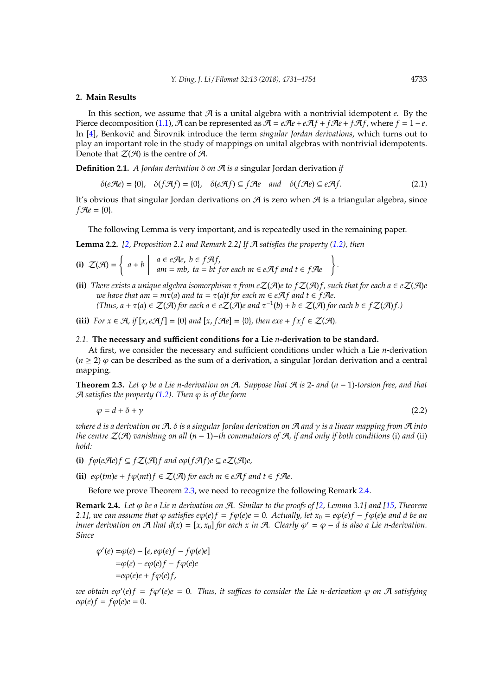#### <span id="page-2-0"></span>**2. Main Results**

In this section, we assume that  $A$  is a unital algebra with a nontrivial idempotent  $e$ . By the Pierce decomposition [\(1.1\)](#page-1-0),  $\mathcal{A}$  can be represented as  $\mathcal{A} = e\mathcal{A}e + e\mathcal{A}f + f\mathcal{A}e + f\mathcal{A}f$ , where  $f = 1 - e$ . In [\[4\]](#page-22-1), Benkovič and Širovnik introduce the term *singular Jordan derivations*, which turns out to play an important role in the study of mappings on unital algebras with nontrivial idempotents. Denote that  $\mathcal{Z}(\mathcal{A})$  is the centre of  $\mathcal{A}$ .

**Definition 2.1.** *A Jordan derivation* δ *on* A *is a* singular Jordan derivation *if*

$$
\delta(e\mathcal{A}e) = \{0\}, \quad \delta(f\mathcal{A}f) = \{0\}, \quad \delta(e\mathcal{A}f) \subseteq f\mathcal{A}e \quad and \quad \delta(f\mathcal{A}e) \subseteq e\mathcal{A}f. \tag{2.1}
$$

It's obvious that singular Jordan derivations on  $\mathcal A$  is zero when  $\mathcal A$  is a triangular algebra, since  $f \mathcal{A}e = \{0\}.$ 

The following Lemma is very important, and is repeatedly used in the remaining paper.

<span id="page-2-4"></span>**Lemma 2.2.** *[\[2,](#page-22-2) Proposition 2.1 and Remark 2.2] If* A *satisfies the property [\(1.2\)](#page-1-1), then*

(i) 
$$
Z(\mathcal{A}) = \begin{cases} a+b & a \in e\mathcal{A}e, b \in f\mathcal{A}f, \\ am = mb, ta = bt & for each m \in e\mathcal{A}f \text{ and } t \in f\mathcal{A}e \end{cases}
$$
.

**(ii)** *There exists a unique algebra isomorphism*  $\tau$  *from e* $\mathcal{Z}(\mathcal{A})e$  *to f* $\mathcal{Z}(\mathcal{A})f$ *, such that for each a*  $\in e\mathcal{Z}(\mathcal{A})e$ *we have that am* =  $m\tau(a)$  *and ta* =  $\tau(a)$ *t for each*  $m \in e\mathcal{A}$ *f and*  $t \in f\mathcal{A}e$ .  $(Thus, a + \tau(a) \in \mathcal{Z}(\mathcal{A})$  for each  $a \in e\mathcal{Z}(\mathcal{A})e$  and  $\tau^{-1}(b) + b \in \mathcal{Z}(\mathcal{A})$  for each  $b \in f\mathcal{Z}(\mathcal{A})f$ .)

**(iii)**  $For \ x \in \mathcal{A}, if \ [x, e \mathcal{A}f] = \{0\} \ and \ [x, f \mathcal{A}e] = \{0\}, then \ exe + fxf \in \mathcal{Z}(\mathcal{A})$ .

### *2.1.* **The necessary and su**ffi**cient conditions for a Lie** *n***-derivation to be standard.**

At first, we consider the necessary and sufficient conditions under which a Lie *n*-derivation  $(n \ge 2)$   $\varphi$  can be described as the sum of a derivation, a singular Jordan derivation and a central mapping.

<span id="page-2-1"></span>**Theorem 2.3.** *Let*  $\varphi$  *be a Lie n-derivation on*  $\varphi$ *A. Suppose that*  $\varphi$  *is* 2*- and*  $(n-1)$ *-torsion free, and that*  $A$  *satisfies the property [\(1.2\)](#page-1-1). Then*  $\varphi$  *is of the form* 

<span id="page-2-3"></span>
$$
\varphi = d + \delta + \gamma \tag{2.2}
$$

*where d is a derivation on* A*,* δ *is a singular Jordan derivation on* A *and* γ *is a linear mapping from* A *into the centre* Z(A) *vanishing on all* (*n* − 1)−*th commutators of* A*, if and only if both conditions* (i) *and* (ii) *hold:*

**(i)** *f*ϕ(*e*A*e*)*f* ⊆ *f*Z(A)*f and e*ϕ(*f*A*f*)*e* ⊆ *e*Z(A)*e,*

**(ii)**  $e\varphi$ (*tm*) $e + f\varphi$ (*mt*) $f \in \mathcal{Z}(\mathcal{A})$  *for each m*  $\in e\mathcal{A}f$  *and*  $t \in f\mathcal{A}e$ .

Before we prove Theorem [2.3,](#page-2-1) we need to recognize the following Remark [2.4.](#page-2-2)

<span id="page-2-2"></span>**Remark 2.4.** *Let* ϕ *be a Lie n-derivation on* A*. Similar to the proofs of [\[2,](#page-22-2) Lemma 3.1] and [\[15,](#page-23-0) Theorem 2.1], we can assume that*  $\varphi$  *satisfies e* $\varphi$ (*e*)*f* = *f* $\varphi$ (*e*)*e* = 0*. Actually, let*  $x_0 = e\varphi$ (*e*)*f* − *f* $\varphi$ (*e*)*e and d be an inner derivation on*  $\mathcal A$  *that*  $d(x) = [x, x_0]$  *for each*  $x$  *in*  $\mathcal A$ *. Clearly*  $\varphi' = \varphi - d$  *is also a Lie n-derivation. Since*

$$
\varphi'(e) = \varphi(e) - [e, e\varphi(e)f - f\varphi(e)e]
$$

$$
= \varphi(e) - e\varphi(e)f - f\varphi(e)e
$$

$$
= e\varphi(e)e + f\varphi(e)f,
$$

*we obtain e*ϕ 0 (*e*)*f* = *f*ϕ 0 (*e*)*e* = 0*. Thus, it su*ffi*ces to consider the Lie n-derivation* ϕ *on* A *satisfying*  $e\varphi(e)f = f\varphi(e)e = 0.$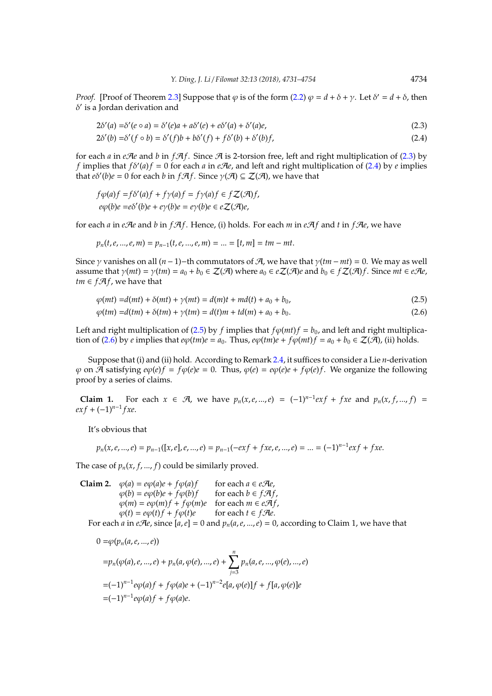*Proof.* [Proof of Theorem [2.3\]](#page-2-1) Suppose that  $\varphi$  is of the form [\(2.2\)](#page-2-3)  $\varphi = d + \delta + \gamma$ . Let  $\delta' = d + \delta$ , then  $\delta'$  is a Jordan derivation and

$$
2\delta'(a) = \delta'(e \circ a) = \delta'(e)a + a\delta'(e) + e\delta'(a) + \delta'(a)e,
$$
\n(2.3)

<span id="page-3-1"></span><span id="page-3-0"></span>
$$
2\delta'(b) = \delta'(f \circ b) = \delta'(f)b + b\delta'(f) + f\delta'(b) + \delta'(b)f,
$$
\n(2.4)

for each  $a$  in *eAe* and  $b$  in  $fAf$ . Since  $A$  is 2-torsion free, left and right multiplication of [\(2.3\)](#page-3-0) by *f* implies that  $f\delta'(a)f = 0$  for each *a* in *eAe*, and left and right multiplication of [\(2.4\)](#page-3-1) by *e* implies that  $e\delta'(b)e = 0$  for each *b* in  $f\mathcal{A}f$ . Since  $\gamma(\mathcal{A}) \subseteq \mathcal{Z}(\mathcal{A})$ , we have that

$$
f\varphi(a)f = f\delta'(a)f + f\gamma(a)f = f\gamma(a)f \in f\mathcal{Z}(\mathcal{A})f,
$$
  

$$
e\varphi(b)e = e\delta'(b)e + e\gamma(b)e = e\gamma(b)e \in e\mathcal{Z}(\mathcal{A})e,
$$

for each  $a$  in *e*A*e* and  $b$  in *f*A $f$ . Hence, (i) holds. For each  $m$  in *eA* $f$  and  $t$  in *fAe*, we have

$$
p_n(t, e, ..., e, m) = p_{n-1}(t, e, ..., e, m) = ... = [t, m] = tm - mt.
$$

Since  $\gamma$  vanishes on all  $(n-1)$ −th commutators of A, we have that  $\gamma$ ( $tm - mt$ ) = 0. We may as well assume that  $\gamma(mt) = \gamma(tm) = a_0 + b_0 \in \mathcal{Z}(\mathcal{A})$  where  $a_0 \in e\mathcal{Z}(\mathcal{A})e$  and  $b_0 \in f\mathcal{Z}(\mathcal{A})f$ . Since  $mt \in e\mathcal{A}e$ , *tm*  $\in$  *f* $\mathcal{A}$ *f*, we have that

$$
\varphi(mt) = d(mt) + \delta(mt) + \gamma(mt) = d(m)t + md(t) + a_0 + b_0,
$$
\n(2.5)

<span id="page-3-3"></span><span id="page-3-2"></span>
$$
\varphi(tm) = d(tm) + \delta(tm) + \gamma(tm) = d(t)m + td(m) + a_0 + b_0.
$$
\n(2.6)

Left and right multiplication of [\(2.5\)](#page-3-2) by *f* implies that  $f\phi(mt)f = b<sub>0</sub>$ , and left and right multiplica-tion of [\(2.6\)](#page-3-3) by *e* implies that  $e\phi$ (*tm*) $e = a_0$ . Thus,  $e\phi$ (*tm*) $e + f\phi$ (*mt*) $f = a_0 + b_0 \in \mathcal{Z}(\mathcal{A})$ , (ii) holds.

Suppose that (i) and (ii) hold. According to Remark [2.4,](#page-2-2) it suffices to consider a Lie *n*-derivation  $\varphi$  on  $\overline{A}$  satisfying  $e\varphi(e)f = f\varphi(e)e = 0$ . Thus,  $\varphi(e) = e\varphi(e)e + f\varphi(e)f$ . We organize the following proof by a series of claims.

**Claim 1.** For each *x* ∈  $\mathcal{A}$ , we have  $p_n(x, e, ..., e) = (-1)^{n-1} exp + f x e$  and  $p_n(x, f, ..., f) =$ *ex f* + (−1)*n*−<sup>1</sup> *f xe*.

It's obvious that

$$
p_n(x, e, ..., e) = p_{n-1}([x, e], e, ..., e) = p_{n-1}(-exf + fxe, e, ..., e) = ... = (-1)^{n-1}exf + fxe.
$$

The case of  $p_n(x, f, \ldots, f)$  could be similarly proved.

**Claim 2.** 
$$
\varphi(a) = e\varphi(a)e + f\varphi(a)f
$$
 for each  $a \in e\mathcal{A}e$ ,  
\n $\varphi(b) = e\varphi(b)e + f\varphi(b)f$  for each  $b \in f\mathcal{A}f$ ,  
\n $\varphi(m) = e\varphi(m)f + f\varphi(m)e$  for each  $m \in e\mathcal{A}f$ ,  
\n $\varphi(t) = e\varphi(t)f + f\varphi(t)e$  for each  $t \in f\mathcal{A}e$ .

For each *a* in *e* $\mathcal{A}$ *e*, since  $[a, e] = 0$  and  $p_n(a, e, ..., e) = 0$ , according to Claim 1, we have that

$$
0 = \varphi(p_n(a, e, ..., e))
$$
  
=  $p_n(\varphi(a), e, ..., e) + p_n(a, \varphi(e), ..., e) + \sum_{j=3}^n p_n(a, e, ..., \varphi(e), ..., e)$   
=  $(-1)^{n-1}e\varphi(a)f + f\varphi(a)e + (-1)^{n-2}e[a, \varphi(e)]f + f[a, \varphi(e)]e$   
=  $(-1)^{n-1}e\varphi(a)f + f\varphi(a)e$ .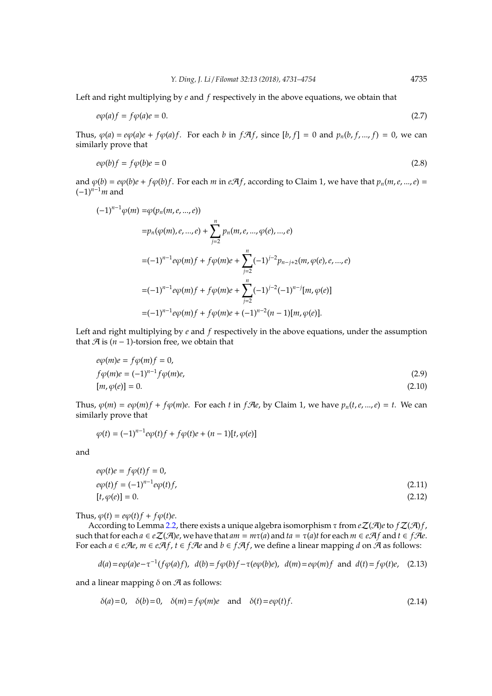Left and right multiplying by *e* and *f* respectively in the above equations, we obtain that

$$
e\varphi(a)f = f\varphi(a)e = 0.\tag{2.7}
$$

Thus,  $\varphi$ (*a*) = *e* $\varphi$ (*a*) $e$  +  $f\varphi$ (*a*) $f$ . For each *b* in  $f\mathcal{A}f$ , since [*b*, *f*] = 0 and  $p_n$ (*b*, *f*, ..., *f*) = 0, we can similarly prove that

$$
e\varphi(b)f = f\varphi(b)e = 0\tag{2.8}
$$

and  $\varphi(b) = e\varphi(b)e + f\varphi(b)f$ . For each *m* in *eAf*, according to Claim 1, we have that  $p_n(m, e, ..., e)$  = (−1)*<sup>n</sup>*−1*m* and

$$
(-1)^{n-1}\varphi(m) = \varphi(p_n(m, e, ..., e))
$$
  
\n
$$
= p_n(\varphi(m), e, ..., e) + \sum_{j=2}^n p_n(m, e, ..., \varphi(e), ..., e)
$$
  
\n
$$
= (-1)^{n-1}e\varphi(m)f + f\varphi(m)e + \sum_{j=2}^n (-1)^{j-2}p_{n-j+2}(m, \varphi(e), e, ..., e)
$$
  
\n
$$
= (-1)^{n-1}e\varphi(m)f + f\varphi(m)e + \sum_{j=2}^n (-1)^{j-2}(-1)^{n-j}[m, \varphi(e)]
$$
  
\n
$$
= (-1)^{n-1}e\varphi(m)f + f\varphi(m)e + (-1)^{n-2}(n-1)[m, \varphi(e)].
$$

Left and right multiplying by *e* and *f* respectively in the above equations, under the assumption that  $\mathcal{A}$  is ( $n-1$ )-torsion free, we obtain that

<span id="page-4-1"></span><span id="page-4-0"></span>
$$
e\varphi(m)e = f\varphi(m)f = 0,
$$
  
\n
$$
f\varphi(m)e = (-1)^{n-1}f\varphi(m)e,
$$
  
\n
$$
[m, \varphi(e)] = 0.
$$
\n(2.10)

Thus,  $\varphi(m) = e\varphi(m)f + f\varphi(m)e$ . For each *t* in *f* $\mathcal{A}e$ , by Claim 1, we have  $p_n(t, e, ..., e) = t$ . We can similarly prove that

$$
\varphi(t) = (-1)^{n-1} e \varphi(t) f + f \varphi(t) e + (n-1) [t, \varphi(e)]
$$

and

<span id="page-4-3"></span><span id="page-4-2"></span>
$$
e\varphi(t)e = f\varphi(t)f = 0,
$$
  
\n
$$
e\varphi(t)f = (-1)^{n-1}e\varphi(t)f,
$$
  
\n
$$
[t, \varphi(e)] = 0.
$$
\n(2.12)

Thus,  $\varphi(t) = e\varphi(t)f + f\varphi(t)e$ .

According to Lemma [2.2,](#page-2-4) there exists a unique algebra isomorphism τ from *e*Z(A)*e*to *f*Z(A)*f*, such that for each  $a \in e\mathcal{Z}(\mathcal{A})e$ , we have that  $am = m\tau(a)$  and  $ta = \tau(a)t$  for each  $m \in e\mathcal{A}f$  and  $t \in f\mathcal{A}e$ . For each *a* ∈ *eAe*, *m* ∈ *eAf*, *t* ∈ *fAe* and *b* ∈ *fAf*, we define a linear mapping *d* on *A* as follows:

$$
d(a) = e\varphi(a)e - \tau^{-1}(f\varphi(a)f), \quad d(b) = f\varphi(b)f - \tau(e\varphi(b)e), \quad d(m) = e\varphi(m)f \quad \text{and} \quad d(t) = f\varphi(t)e, \quad (2.13)
$$

and a linear mapping  $\delta$  on  $\mathcal A$  as follows:

<span id="page-4-5"></span><span id="page-4-4"></span>
$$
\delta(a) = 0, \quad \delta(b) = 0, \quad \delta(m) = f\varphi(m)e \quad \text{and} \quad \delta(t) = e\varphi(t)f. \tag{2.14}
$$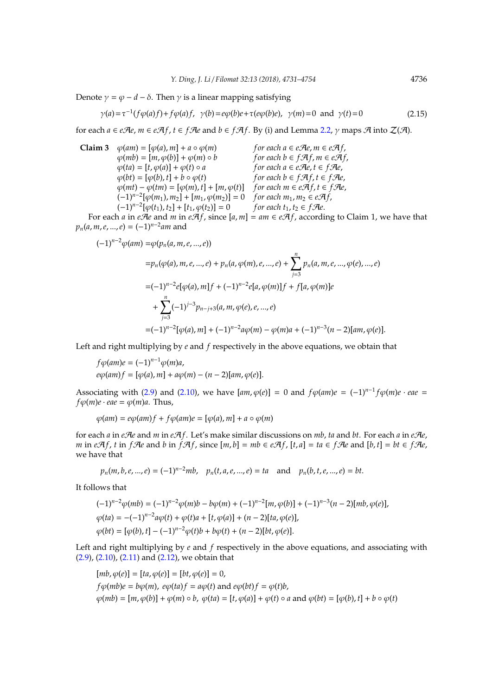Denote  $\gamma = \varphi - d - \delta$ . Then  $\gamma$  is a linear mapping satisfying

$$
\gamma(a) = \tau^{-1}(f\varphi(a)f) + f\varphi(a)f, \quad \gamma(b) = e\varphi(b)e + \tau(e\varphi(b)e), \quad \gamma(m) = 0 \quad \text{and} \quad \gamma(t) = 0 \tag{2.15}
$$

for each  $a \in e\mathcal{A}e$ ,  $m \in e\mathcal{A}f$ ,  $t \in f\mathcal{A}e$  and  $b \in f\mathcal{A}f$ . By (i) and Lemma [2.2,](#page-2-4)  $\gamma$  maps  $\mathcal{A}$  into  $\mathcal{Z}(\mathcal{A})$ .

**Claim 3**  $\varphi(am) = [\varphi(a), m] + a \circ \varphi(m)$  *for each a* ∈ *eAe*, *m* ∈ *eAf*,  $\varphi(mb) = [m, \varphi(b)] + \varphi(m) \circ b$  *for each b* ∈ *f* $\mathcal{A}f$ , *m* ∈ *e* $\mathcal{A}f$ ,  $\varphi(ta) = [t, \varphi(a)] + \varphi(t) \circ a$  *for each a* ∈ *e* $\mathcal{A}e$ , *t* ∈ *f* $\mathcal{A}e$ ,  $\varphi(ta) = [t, \varphi(a)] + \varphi(t) \circ a$  $\varphi(bt) = [\varphi(b), t] + b \circ \varphi(t)$  *for each*  $b \in f \mathcal{A} f, t \in f \mathcal{A} e$ ,  $\varphi(mt) - \varphi(tm) = [\varphi(m), t] + [m, \varphi(t)]$  *for each*  $m \in e \mathcal{A} f, t \in f \mathcal{A} e$ ,  $(-1)^{n-2} [\varphi(m_1), m_2] + [m_1, \varphi(m_2)] = 0$  *for each*  $m_1, m_2 \in e \mathcal{A} \mathcal{H}$ ,  $(-1)^{n-2} [\varphi(t_1), t_2] + [t_1, \varphi(t_2)] = 0$  *for each*  $t_1, t_2 \in f\mathcal{A}e$ .

For each *a* in *eAe* and *m* in *eAf*, since  $[a, m] = am \in eA$ f, according to Claim 1, we have that *pn*(*a*, *m*,*e*, ...,*e*) = (−1)*<sup>n</sup>*−<sup>2</sup> *am* and

$$
(-1)^{n-2}\varphi(am) = \varphi(p_n(a, m, e, ..., e))
$$
  
\n
$$
= p_n(\varphi(a), m, e, ..., e) + p_n(a, \varphi(m), e, ..., e) + \sum_{j=3}^n p_n(a, m, e, ..., \varphi(e), ..., e)
$$
  
\n
$$
= (-1)^{n-2}e[\varphi(a), m]f + (-1)^{n-2}e[a, \varphi(m)]f + f[a, \varphi(m)]e
$$
  
\n
$$
+ \sum_{j=3}^n (-1)^{j-3}p_{n-j+3}(a, m, \varphi(e), e, ..., e)
$$
  
\n
$$
= (-1)^{n-2}[\varphi(a), m] + (-1)^{n-2}a\varphi(m) - \varphi(m)a + (-1)^{n-3}(n-2)[am, \varphi(e)].
$$

Left and right multiplying by *e* and *f* respectively in the above equations, we obtain that

 $f\varphi(am)e = (-1)^{n-1}\varphi(m)a,$  $e\varphi(am)f = [\varphi(a), m] + a\varphi(m) - (n-2)[am, \varphi(e)].$ 

Associating with [\(2.9\)](#page-4-0) and [\(2.10\)](#page-4-1), we have  $[am, \varphi(e)] = 0$  and  $f\varphi(am)e = (-1)^{n-1}f\varphi(m)e \cdot eae =$  $f\varphi(m)e \cdot eae = \varphi(m)a$ . Thus,

$$
\varphi(am)=e\varphi(am)f+f\varphi(am)e=[\varphi(a),m]+a\circ\varphi(m)
$$

for each  $a$  in  $e\mathcal{A}e$  and  $m$  in  $e\mathcal{A}f$ . Let's make similar discussions on  $mb$ ,  $ta$  and  $bt$ . For each  $a$  in  $e\mathcal{A}e$ , m in eAf, t in fAe and b in fAf, since  $[m, b] = mb \in eA$ f,  $[t, a] = ta \in fA$ e and  $[b, t] = bt \in fA$ e, we have that

$$
p_n(m, b, e, ..., e) = (-1)^{n-2}mb
$$
,  $p_n(t, a, e, ..., e) = ta$  and  $p_n(b, t, e, ..., e) = bt$ .

It follows that

$$
(-1)^{n-2}\varphi(mb) = (-1)^{n-2}\varphi(m)b - b\varphi(m) + (-1)^{n-2}[m,\varphi(b)] + (-1)^{n-3}(n-2)[mb,\varphi(e)],
$$
  

$$
\varphi(ta) = -(-1)^{n-2}a\varphi(t) + \varphi(t)a + [t,\varphi(a)] + (n-2)[ta,\varphi(e)],
$$
  

$$
\varphi(bt) = [\varphi(b), t] - (-1)^{n-2}\varphi(t)b + b\varphi(t) + (n-2)[bt,\varphi(e)].
$$

Left and right multiplying by *e* and *f* respectively in the above equations, and associating with [\(2.9\)](#page-4-0), [\(2.10\)](#page-4-1), [\(2.11\)](#page-4-2) and [\(2.12\)](#page-4-3), we obtain that

$$
[mb, \varphi(e)] = [ta, \varphi(e)] = [bt, \varphi(e)] = 0,
$$
  
\n
$$
f\varphi(mb)e = b\varphi(m), e\varphi(taf) = a\varphi(t) \text{ and } e\varphi(bt)f = \varphi(t)b,
$$
  
\n
$$
\varphi(mb) = [m, \varphi(b)] + \varphi(m) \circ b, \varphi(taf) = [t, \varphi(a)] + \varphi(t) \circ a \text{ and } \varphi(bt) = [\varphi(b), t] + b \circ \varphi(t)
$$

<span id="page-5-0"></span>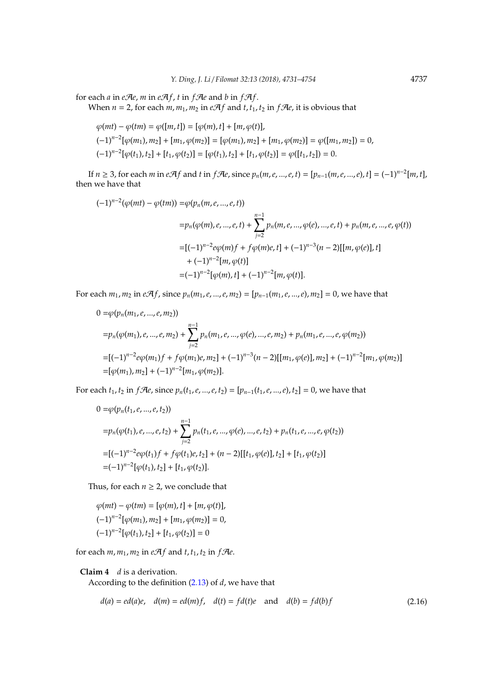for each  $a$  in  $eAe$ ,  $m$  in  $eAf$ ,  $t$  in  $fAe$  and  $b$  in  $fA$  $f$ .

When  $n = 2$ , for each  $m, m_1, m_2$  in  $eA f$  and  $t, t_1, t_2$  in  $fA e$ , it is obvious that

$$
\varphi(mt) - \varphi(tm) = \varphi([m, t]) = [\varphi(m), t] + [m, \varphi(t)],
$$
  

$$
(-1)^{n-2}[\varphi(m_1), m_2] + [m_1, \varphi(m_2)] = [\varphi(m_1), m_2] + [m_1, \varphi(m_2)] = \varphi([m_1, m_2]) = 0,
$$
  

$$
(-1)^{n-2}[\varphi(t_1), t_2] + [t_1, \varphi(t_2)] = [\varphi(t_1), t_2] + [t_1, \varphi(t_2)] = \varphi([t_1, t_2]) = 0.
$$

If  $n \ge 3$ , for each m in  $eAf$  and t in  $fAe$ , since  $p_n(m, e, ..., e, t) = [p_{n-1}(m, e, ..., e), t] = (-1)^{n-2}[m, t]$ , then we have that

$$
(-1)^{n-2}(\varphi(mt) - \varphi(tm)) = \varphi(p_n(m, e, ..., e, t))
$$
  
\n
$$
= p_n(\varphi(m), e, ..., e, t) + \sum_{j=2}^{n-1} p_n(m, e, ..., \varphi(e), ..., e, t) + p_n(m, e, ..., e, \varphi(t))
$$
  
\n
$$
= [(-1)^{n-2}e\varphi(m)f + f\varphi(m)e, t] + (-1)^{n-3}(n-2)[[m, \varphi(e)], t]
$$
  
\n
$$
+ (-1)^{n-2}[m, \varphi(t)]
$$
  
\n
$$
= (-1)^{n-2}[\varphi(m), t] + (-1)^{n-2}[m, \varphi(t)].
$$

For each  $m_1, m_2$  in  $eA f$ , since  $p_n(m_1, e, ..., e, m_2) = [p_{n-1}(m_1, e, ..., e), m_2] = 0$ , we have that

$$
0 = \varphi(p_n(m_1, e, ..., e, m_2))
$$
  
=  $p_n(\varphi(m_1), e, ..., e, m_2) + \sum_{j=2}^{n-1} p_n(m_1, e, ..., \varphi(e), ..., e, m_2) + p_n(m_1, e, ..., e, \varphi(m_2))$   
=  $[-(-1)^{n-2}e\varphi(m_1)f + f\varphi(m_1)e, m_2] + (-1)^{n-3}(n-2)][m_1, \varphi(e)], m_2] + (-1)^{n-2}[m_1, \varphi(m_2)]$   
=  $[\varphi(m_1), m_2] + (-1)^{n-2}[m_1, \varphi(m_2)].$ 

For each  $t_1$ ,  $t_2$  in  $f$ Ae, since  $p_n(t_1, e, ..., e, t_2) = [p_{n-1}(t_1, e, ..., e), t_2] = 0$ , we have that

$$
0 = \varphi(p_n(t_1, e, ..., e, t_2))
$$
  
=  $p_n(\varphi(t_1), e, ..., e, t_2) + \sum_{j=2}^{n-1} p_n(t_1, e, ..., \varphi(e), ..., e, t_2) + p_n(t_1, e, ..., e, \varphi(t_2))$   
=  $[-(1)^{n-2}e\varphi(t_1)f + f\varphi(t_1)e, t_2] + (n-2)[[t_1, \varphi(e)], t_2] + [t_1, \varphi(t_2)]$   
=  $(-1)^{n-2}[\varphi(t_1), t_2] + [t_1, \varphi(t_2)].$ 

Thus, for each  $n \geq 2$ , we conclude that

$$
\varphi(mt) - \varphi(tm) = [\varphi(m), t] + [m, \varphi(t)],
$$
  

$$
(-1)^{n-2}[\varphi(m_1), m_2] + [m_1, \varphi(m_2)] = 0,
$$
  

$$
(-1)^{n-2}[\varphi(t_1), t_2] + [t_1, \varphi(t_2)] = 0
$$

for each  $m, m_1, m_2$  in  $eA f$  and  $t, t_1, t_2$  in  $fA e$ .

## **Claim 4** *d* is a derivation.

According to the definition [\(2.13\)](#page-4-4) of *d*, we have that

<span id="page-6-0"></span>
$$
d(a) = ed(a)e, \quad d(m) = ed(m)f, \quad d(t) = fd(t)e \quad \text{and} \quad d(b) = fd(b)f \tag{2.16}
$$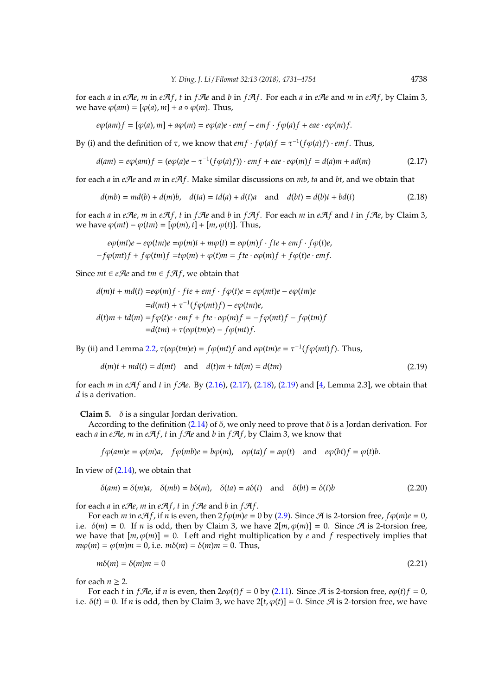for each *a* in *e* $\mathcal{A}$ *e*, *m* in *e* $\mathcal{A}$ *f*, *t* in *f* $\mathcal{A}$ *e* and *b* in *f* $\mathcal{A}$ *f*. For each *a* in *e* $\mathcal{A}$ *e* and *m* in *e* $\mathcal{A}$ *f*, by Claim 3. we have  $\varphi(am) = [\varphi(a), m] + a \circ \varphi(m)$ . Thus,

<span id="page-7-0"></span>
$$
e\varphi(am)f = [\varphi(a),m] + a\varphi(m) = e\varphi(a)e \cdot emf - emf \cdot f\varphi(a)f + eae \cdot e\varphi(m)f.
$$

By (i) and the definition of *τ*, we know that *em f* · *f* $\varphi$ (*a*)*f* =  $\tau^{-1}(f\varphi(a)f) \cdot emf$ . Thus,

$$
d(am) = e\varphi(am)f = (e\varphi(a)e - \tau^{-1}(f\varphi(a)f)) \cdot emf + eae \cdot e\varphi(m)f = d(a)m + ad(m)
$$
\n(2.17)

for each *a* in *e*A*e* and *m* in *e*A*f*. Make similar discussions on *mb*, *ta* and *bt*, and we obtain that

<span id="page-7-1"></span>
$$
d(mb) = md(b) + d(m)b, \quad d(ta) = td(a) + d(t)a \quad \text{and} \quad d(bt) = d(b)t + bd(t) \tag{2.18}
$$

for each *a* in *e* $\mathcal{A}$ *e*, *m* in *e* $\mathcal{A}$ *f*, *t* in *f* $\mathcal{A}$ *e* and *b* in *f* $\mathcal{A}$ *f*. For each *m* in *e* $\mathcal{A}$ *f* and *t* in *f* $\mathcal{A}$ *e*, by Claim 3, we have  $\varphi(mt) - \varphi(tm) = [\varphi(m), t] + [m, \varphi(t)]$ . Thus,

 $e\phi(mt)e - e\phi(tm)e = \phi(m)t + m\phi(t) = e\phi(m)f \cdot fte + emf \cdot f\phi(t)e$ ,  $-f\phi(mt)f + f\phi(tm)f = t\phi(m) + \phi(t)m = fte \cdot e\phi(m)f + f\phi(t)e \cdot emf.$ 

Since  $mt \in e\mathcal{A}e$  and  $tm \in f\mathcal{A}f$ , we obtain that

$$
d(m)t + md(t) = eq(m)f \cdot fte + emf \cdot f\varphi(t)e = eq(mt)e - eq(tm)e
$$
  
=
$$
d(mt) + \tau^{-1}(f\varphi(mt)f) - eq(tm)e,
$$
  

$$
d(t)m + td(m) = f\varphi(t)e \cdot emf + fe \cdot eq(m)f = -f\varphi(mt)f - f\varphi(tm)f
$$
  
=
$$
d(tm) + \tau(eq(tm)e) - f\varphi(mt)f.
$$

By (ii) and Lemma [2.2,](#page-2-4)  $\tau$ (*e* $\varphi$ (*tm*)*e*) =  $f$  $\varphi$ (*mt*)*f* and *e* $\varphi$ (*tm*)*e* =  $\tau$ <sup>-1</sup>(*f* $\varphi$ (*mt*)*f*). Thus,

<span id="page-7-2"></span>
$$
d(m)t + md(t) = d(mt) \quad \text{and} \quad d(t)m + td(m) = d(tm) \tag{2.19}
$$

for each *m* in *e*A*f* and *t* in *f*A*e*. By [\(2.16\)](#page-6-0), [\(2.17\)](#page-7-0), [\(2.18\)](#page-7-1), [\(2.19\)](#page-7-2) and [\[4,](#page-22-1) Lemma 2.3], we obtain that *d* is a derivation.

**Claim 5.**  $\delta$  is a singular Jordan derivation.

According to the definition [\(2.14\)](#page-4-5) of  $\delta$ , we only need to prove that  $\delta$  is a Jordan derivation. For each *a* in *e* $\mathcal{A}$ *e*, *m* in *e* $\mathcal{A}$ *f*, *t* in *f* $\mathcal{A}$ *e* and *b* in *f* $\mathcal{A}$ *f*, by Claim 3, we know that

<span id="page-7-3"></span> $f\phi(am)e = \phi(m)a$ ,  $f\phi(mb)e = b\phi(m)$ ,  $e\phi(ta)f = a\phi(t)$  and  $e\phi(bt)f = \phi(t)b$ .

In view of [\(2.14\)](#page-4-5), we obtain that

$$
\delta(am) = \delta(m)a, \quad \delta(mb) = b\delta(m), \quad \delta(ta) = a\delta(t) \quad \text{and} \quad \delta(bt) = \delta(t)b \tag{2.20}
$$

for each *a* in *e* $\mathcal{A}$ *e*, *m* in *e* $\mathcal{A}$ *f*, *t* in *f* $\mathcal{A}$ *e* and *b* in *f* $\mathcal{A}$ *f*.

For each *m* in *eA*<sub>f</sub>, if *n* is even, then  $2 f \phi(m) e = 0$  by [\(2.9\)](#page-4-0). Since A is 2-torsion free,  $f \phi(m) e = 0$ , i.e.  $\delta(m) = 0$ . If *n* is odd, then by Claim 3, we have  $2[m, \varphi(m)] = 0$ . Since A is 2-torsion free, we have that  $[m,\varphi(m)] = 0$ . Left and right multiplication by *e* and *f* respectively implies that  $m\varphi(m) = \varphi(m)m = 0$ , i.e.  $m\delta(m) = \delta(m)m = 0$ . Thus,

<span id="page-7-4"></span>
$$
m\delta(m) = \delta(m)m = 0\tag{2.21}
$$

for each  $n \geq 2$ .

For each *t* in *f* $\mathcal{A}e$ , if *n* is even, then  $2e\phi(t) f = 0$  by [\(2.11\)](#page-4-2). Since  $\mathcal{A}$  is 2-torsion free,  $e\phi(t) f = 0$ , i.e.  $\delta(t) = 0$ . If *n* is odd, then by Claim 3, we have  $2[t, \varphi(t)] = 0$ . Since A is 2-torsion free, we have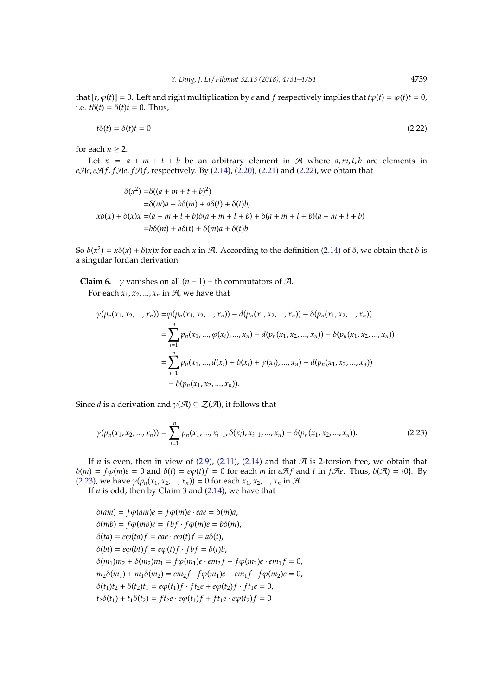that  $[t, \varphi(t)] = 0$ . Left and right multiplication by *e* and *f* respectively implies that  $t\varphi(t) = \varphi(t)t = 0$ , i.e.  $t\delta(t) = \delta(t)t = 0$ . Thus,

<span id="page-8-0"></span>
$$
t\delta(t) = \delta(t)t = 0\tag{2.22}
$$

for each  $n \geq 2$ .

Let  $x = a + m + t + b$  be an arbitrary element in A where  $a, m, t, b$  are elements in *e*A*e*,*e*A*f*, *f*A*e*, *f*A*f*, respectively. By [\(2.14\)](#page-4-5), [\(2.20\)](#page-7-3), [\(2.21\)](#page-7-4) and [\(2.22\)](#page-8-0), we obtain that

$$
\delta(x^2) = \delta((a + m + t + b)^2)
$$
  
\n
$$
= \delta(m)a + b\delta(m) + a\delta(t) + \delta(t)b,
$$
  
\n
$$
x\delta(x) + \delta(x)x = (a + m + t + b)\delta(a + m + t + b) + \delta(a + m + t + b)(a + m + t + b)
$$
  
\n
$$
= b\delta(m) + a\delta(t) + \delta(m)a + \delta(t)b.
$$

So  $\delta(x^2) = x\delta(x) + \delta(x)x$  for each *x* in A. According to the definition [\(2.14\)](#page-4-5) of  $\delta$ , we obtain that  $\delta$  is a singular Jordan derivation.

**Claim 6.** *γ* vanishes on all  $(n - 1)$  – th commutators of A.

For each  $x_1, x_2, ..., x_n$  in  $A$ , we have that

$$
\gamma(p_n(x_1, x_2, ..., x_n)) = \varphi(p_n(x_1, x_2, ..., x_n)) - d(p_n(x_1, x_2, ..., x_n)) - \delta(p_n(x_1, x_2, ..., x_n))
$$
  
= 
$$
\sum_{i=1}^n p_n(x_1, ..., \varphi(x_i), ..., x_n) - d(p_n(x_1, x_2, ..., x_n)) - \delta(p_n(x_1, x_2, ..., x_n))
$$
  
= 
$$
\sum_{i=1}^n p_n(x_1, ..., d(x_i) + \delta(x_i) + \gamma(x_i), ..., x_n) - d(p_n(x_1, x_2, ..., x_n))
$$
  
- 
$$
\delta(p_n(x_1, x_2, ..., x_n)).
$$

Since *d* is a derivation and  $\gamma(\mathcal{A}) \subseteq \mathcal{Z}(\mathcal{A})$ , it follows that

<span id="page-8-1"></span>
$$
\gamma(p_n(x_1, x_2, ..., x_n)) = \sum_{i=1}^n p_n(x_1, ..., x_{i-1}, \delta(x_i), x_{i+1}, ..., x_n) - \delta(p_n(x_1, x_2, ..., x_n)).
$$
\n(2.23)

If *n* is even, then in view of  $(2.9)$ ,  $(2.11)$ ,  $(2.14)$  and that A is 2-torsion free, we obtain that  $δ(m) = fφ(m)e = 0$  and  $δ(t) = eφ(t)f = 0$  for each *m* in *eAf* and *t* in *fAe*. Thus,  $δ(A) = {0}$ . By [\(2.23\)](#page-8-1), we have  $\gamma(p_n(x_1, x_2, ..., x_n)) = 0$  for each  $x_1, x_2, ..., x_n$  in  $\mathcal{A}$ .

If *n* is odd, then by Claim 3 and [\(2.14\)](#page-4-5), we have that

 $\delta(am) = f\phi(am)e = f\phi(m)e \cdot eae = \delta(m)a,$  $\delta$ (*mb*) =  $f\varphi$ (*mb*) $e = fbf \cdot f\varphi$ (*m*) $e = b\delta$ (*m*),  $\delta(ta) = e\varphi(ta) f = eae \cdot e\varphi(t) f = a\delta(t),$  $\delta(bt) = e\varphi(bt) f = e\varphi(t) f \cdot fbf = \delta(t)b$ ,  $\delta(m_1)m_2 + \delta(m_2)m_1 = f\phi(m_1)e \cdot em_2f + f\phi(m_2)e \cdot em_1f = 0$ ,  $m_2\delta(m_1) + m_1\delta(m_2) = em_2 f \cdot f \varphi(m_1)e + em_1 f \cdot f \varphi(m_2)e = 0,$  $\delta(t_1)t_2 + \delta(t_2)t_1 = e\varphi(t_1)f \cdot ft_2e + e\varphi(t_2)f \cdot ft_1e = 0,$  $t_2\delta(t_1) + t_1\delta(t_2) = ft_2e \cdot e\phi(t_1)f + ft_1e \cdot e\phi(t_2)f = 0$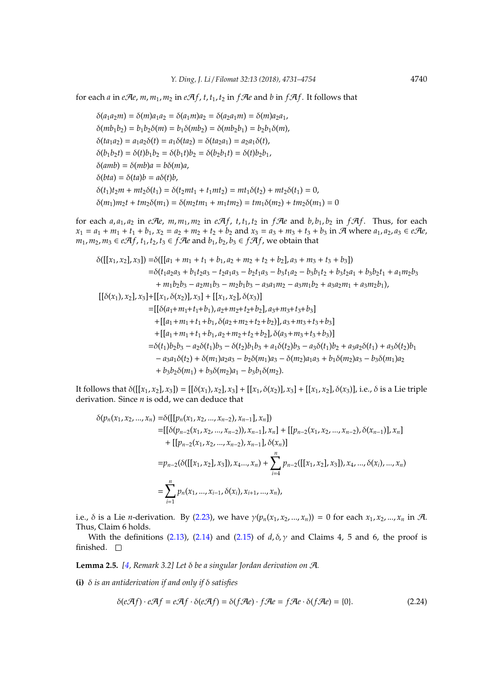for each *a* in *e* $\mathcal{A}$ *e*, *m*, *m*<sub>1</sub>, *m*<sub>2</sub> in *e* $\mathcal{A}$ *f*, *t*, *t*<sub>1</sub>, *t*<sub>2</sub> in *f* $\mathcal{A}$ *e* and *b* in *f* $\mathcal{A}$ *f*. It follows that

 $\delta(a_1a_2m) = \delta(m)a_1a_2 = \delta(a_1m)a_2 = \delta(a_2a_1m) = \delta(m)a_2a_1$ ,  $\delta(mb_1b_2) = b_1b_2\delta(m) = b_1\delta(mb_2) = \delta(mb_2b_1) = b_2b_1\delta(m),$  $\delta(ta_1a_2) = a_1a_2\delta(t) = a_1\delta(ta_2) = \delta(ta_2a_1) = a_2a_1\delta(t),$  $\delta(b_1b_2t) = \delta(t)b_1b_2 = \delta(b_1t)b_2 = \delta(b_2b_1t) = \delta(t)b_2b_1$ , δ(*amb*) = δ(*mb*)*a* = *b*δ(*m*)*a*,  $δ(bta) = δ(ta)b = aδ(t)b$ ,  $\delta(t_1)t_2m + mt_2\delta(t_1) = \delta(t_2mt_1 + t_1mt_2) = mt_1\delta(t_2) + mt_2\delta(t_1) = 0,$  $δ(m_1)m_2t + tm_2δ(m_1) = δ(m_2tm_1 + m_1tm_2) = tm_1δ(m_2) + tm_2δ(m_1) = 0$ 

for each  $a_1a_1$ ,  $a_2$  in eAe,  $m_1, m_2$  in eAf,  $t_1, t_2$  in fAe and  $b_1, b_2$  in fAf. Thus, for each  $x_1 = a_1 + m_1 + t_1 + b_1$ ,  $x_2 = a_2 + m_2 + t_2 + b_2$  and  $x_3 = a_3 + m_3 + t_3 + b_3$  in  $\mathcal{A}$  where  $a_1, a_2, a_3 \in e\mathcal{A}e$ , *m*<sub>1</sub>, *m*<sub>2</sub>, *m*<sub>3</sub> ∈ *eAf*, *t*<sub>1</sub>, *t*<sub>2</sub>, *t*<sub>3</sub> ∈ *fAe* and *b*<sub>1</sub>, *b*<sub>2</sub>, *b*<sub>3</sub> ∈ *fAf*, we obtain that

$$
\delta([[x_1, x_2], x_3]) = \delta([[a_1 + m_1 + t_1 + b_1, a_2 + m_2 + t_2 + b_2], a_3 + m_3 + t_3 + b_3])
$$
\n
$$
= \delta(t_1a_2a_3 + b_1t_2a_3 - t_2a_1a_3 - b_2t_1a_3 - b_3t_1a_2 - b_3b_1t_2 + b_3t_2a_1 + b_3b_2t_1 + a_1m_2b_3 + m_1b_2b_3 - a_2m_1b_3 - m_2b_1b_3 - a_3a_1m_2 - a_3m_1b_2 + a_3a_2m_1 + a_3m_2b_1),
$$
\n
$$
[[\delta(x_1), x_2], x_3] + [[x_1, \delta(x_2)], x_3] + [[x_1, x_2], \delta(x_3)]
$$
\n
$$
= [[\delta(a_1 + m_1 + t_1 + b_1), a_2 + m_2 + t_2 + b_2], a_3 + m_3 + t_3 + b_3]
$$
\n
$$
+ [[a_1 + m_1 + t_1 + b_1, a_2 + m_2 + t_2 + b_2], \delta(a_3 + m_3 + t_3 + b_3)]
$$
\n
$$
= \delta(t_1)b_2b_3 - a_2\delta(t_1)b_3 - \delta(t_2)b_1b_3 + a_1\delta(t_2)b_3 - a_3\delta(t_1)b_2 + a_3a_2\delta(t_1) + a_3\delta(t_2)b_1 - a_3a_1\delta(t_2) + \delta(m_1)a_2a_3 - b_2\delta(m_1)a_3 - \delta(m_2)a_1a_3 + b_1\delta(m_2)a_3 - b_3\delta(m_1)a_2
$$
\n
$$
+ b_3b_2\delta(m_1) + b_3\delta(m_2)a_1 - b_3b_1\delta(m_2).
$$

It follows that  $\delta([[x_1, x_2], x_3]) = [[\delta(x_1), x_2], x_3] + [[x_1, \delta(x_2)], x_3] + [[x_1, x_2], \delta(x_3)],$  i.e., δ is a Lie triple derivation. Since *n* is odd, we can deduce that

$$
\delta(p_n(x_1, x_2, ..., x_n) = \delta([[p_n(x_1, x_2, ..., x_{n-2}), x_{n-1}], x_n])
$$
\n
$$
= [[\delta(p_{n-2}(x_1, x_2, ..., x_{n-2})), x_{n-1}], x_n] + [[p_{n-2}(x_1, x_2, ..., x_{n-2}), \delta(x_{n-1})], x_n]
$$
\n
$$
+ [[p_{n-2}(x_1, x_2, ..., x_{n-2}), x_{n-1}], \delta(x_n)]
$$
\n
$$
= p_{n-2}(\delta([[x_1, x_2], x_3]), x_4, ..., x_n) + \sum_{i=4}^n p_{n-2}([[x_1, x_2], x_3]), x_4, ..., \delta(x_i), ..., x_n)
$$
\n
$$
= \sum_{i=1}^n p_n(x_1, ..., x_{i-1}, \delta(x_i), x_{i+1}, ..., x_n),
$$

i.e.,  $\delta$  is a Lie *n*-derivation. By [\(2.23\)](#page-8-1), we have  $\gamma(p_n(x_1, x_2, ..., x_n)) = 0$  for each  $x_1, x_2, ..., x_n$  in A. Thus, Claim 6 holds.

With the definitions [\(2.13\)](#page-4-4), [\(2.14\)](#page-4-5) and [\(2.15\)](#page-5-0) of  $d$ ,  $\delta$ ,  $\gamma$  and Claims 4, 5 and 6, the proof is finished.  $\Box$ 

<span id="page-9-0"></span>**Lemma 2.5.** *[\[4,](#page-22-1) Remark 3.2] Let*  $\delta$  *be a singular Jordan derivation on A.* 

**(i)** δ *is an antiderivation if and only if* δ *satisfies*

<span id="page-9-1"></span>
$$
\delta(e\mathcal{A}f) \cdot e\mathcal{A}f = e\mathcal{A}f \cdot \delta(e\mathcal{A}f) = \delta(f\mathcal{A}e) \cdot f\mathcal{A}e = f\mathcal{A}e \cdot \delta(f\mathcal{A}e) = \{0\}.
$$
 (2.24)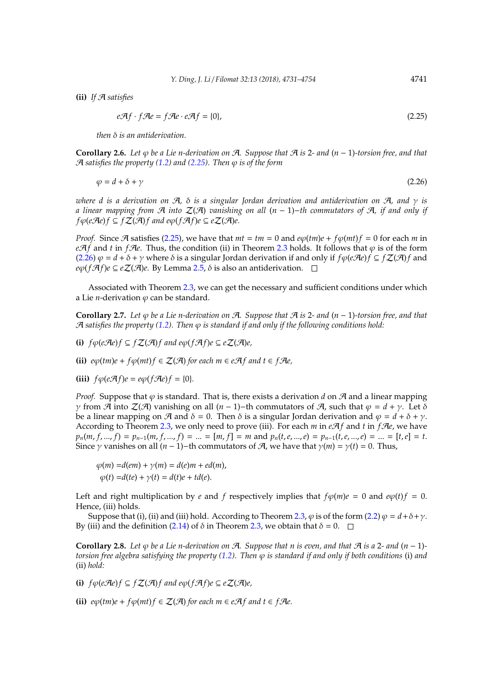**(ii)** *If* A *satisfies*

<span id="page-10-1"></span><span id="page-10-0"></span>
$$
e\mathcal{A}f \cdot f\mathcal{A}e = f\mathcal{A}e \cdot e\mathcal{A}f = \{0\},\tag{2.25}
$$

*then* δ *is an antiderivation.*

<span id="page-10-3"></span>**Corollary 2.6.** *Let* ϕ *be a Lie n-derivation on* A*. Suppose that* A *is* 2*- and* (*n* − 1)*-torsion free, and that*  $\mathcal{A}$  *satisfies the property [\(1.2\)](#page-1-1)* and [\(2.25\)](#page-10-0). Then  $\varphi$  *is of the form* 

$$
\varphi = d + \delta + \gamma \tag{2.26}
$$

*where d is a derivation on*  $A$ *,*  $\delta$  *is a singular Jordan derivation and antiderivation on*  $A$ *, and*  $\gamma$  *is a linear mapping from* A *into* Z(A) *vanishing on all* (*n* − 1)−*th commutators of* A*, if and only if f* $\phi$ (*eAe*)*f* ⊆ *f***Z**(*A*)*f* and *e* $\phi$ (*fAf*)*e* ⊆ *e***Z**(*A*)*e*.

*Proof.* Since  $\mathcal{A}$  satisfies [\(2.25\)](#page-10-0), we have that  $mt = tm = 0$  and  $e\varphi(tm)e + f\varphi(mt)f = 0$  for each *m* in *e* $\mathcal{A}$ *f* and *t* in *f* $\mathcal{A}$ *e*. Thus, the condition (ii) in Theorem [2.3](#page-2-1) holds. It follows that  $\varphi$  is of the form [\(2.26\)](#page-10-1)  $\varphi = d + \delta + \gamma$  where  $\delta$  is a singular Jordan derivation if and only if  $f\varphi(e\mathcal{A}e)f \subseteq f\mathcal{Z}(\mathcal{A})f$  and  $e\varphi(f\mathcal{A}f)e \subseteq e\mathcal{Z}(\mathcal{A})e$ . By Lemma [2.5,](#page-9-0)  $\delta$  is also an antiderivation.  $\square$ 

Associated with Theorem [2.3,](#page-2-1) we can get the necessary and sufficient conditions under which a Lie *n*-derivation  $\varphi$  can be standard.

<span id="page-10-2"></span>**Corollary 2.7.** *Let* ϕ *be a Lie n-derivation on* A*. Suppose that* A *is* 2*- and* (*n* − 1)*-torsion free, and that*  $A$  satisfies the property [\(1.2\)](#page-1-1). Then  $\varphi$  is standard if and only if the following conditions hold:

**(i)** *f*ϕ(*e*A*e*)*f* ⊆ *f*Z(A)*f and e*ϕ(*f*A*f*)*e* ⊆ *e*Z(A)*e,*

**(ii)**  $e\varphi$ (*tm*) $e + f\varphi$ (*mt*) $f \in \mathcal{Z}(\mathcal{A})$  for each  $m \in e\mathcal{A}f$  and  $t \in f\mathcal{A}e$ ,

**(iii)**  $f\varphi(e\mathcal{A}f)e = e\varphi(f\mathcal{A}e)f = \{0\}.$ 

*Proof.* Suppose that  $\varphi$  is standard. That is, there exists a derivation *d* on  $\mathcal{A}$  and a linear mapping *γ* from *A* into *Z*(*A*) vanishing on all (*n* − 1)−th commutators of *A*, such that  $\varphi = d + \gamma$ . Let δ be a linear mapping on  $\mathcal{A}$  and  $\delta = 0$ . Then  $\delta$  is a singular Jordan derivation and  $\varphi = d + \delta + \gamma$ . According to Theorem [2.3,](#page-2-1) we only need to prove (iii). For each  $m$  in  $e\mathcal{A}f$  and  $t$  in  $f\mathcal{A}e$ , we have  $p_n(m, f, ..., f) = p_{n-1}(m, f, ..., f) = ... = [m, f] = m$  and  $p_n(t, e, ..., e) = p_{n-1}(t, e, ..., e) = ... = [t, e] = t$ . Since  $\gamma$  vanishes on all  $(n - 1)$ −th commutators of  $\mathcal{A}$ , we have that  $\gamma(m) = \gamma(t) = 0$ . Thus,

$$
\varphi(m) = d(em) + \gamma(m) = d(e)m + ed(m),
$$
  

$$
\varphi(t) = d(te) + \gamma(t) = d(t)e + td(e).
$$

Left and right multiplication by *e* and *f* respectively implies that  $f\phi(m)e = 0$  and  $e\phi(t)f = 0$ . Hence, (iii) holds.

Suppose that (i), (ii) and (iii) hold. According to Theorem [2.3,](#page-2-1)  $\varphi$  is of the form [\(2.2\)](#page-2-3)  $\varphi = d + \delta + \gamma$ . By (iii) and the definition [\(2.14\)](#page-4-5) of  $\delta$  in Theorem [2.3,](#page-2-1) we obtain that  $\delta = 0$ .  $\Box$ 

<span id="page-10-4"></span>**Corollary 2.8.** Let  $\varphi$  be a Lie n-derivation on A. Suppose that n is even, and that A is a 2- and  $(n-1)$ *torsion free algebra satisfying the property [\(1.2\)](#page-1-1). Then* ϕ *is standard if and only if both conditions* (i) *and* (ii) *hold:*

**(i)** *f*ϕ(*e*A*e*)*f* ⊆ *f*Z(A)*f and e*ϕ(*f*A*f*)*e* ⊆ *e*Z(A)*e,*

**(ii)**  $e\varphi$ (*tm*) $e + f\varphi$ (*mt*) $f \in \mathcal{Z}(\mathcal{A})$  *for each m*  $\in e\mathcal{A}f$  *and*  $t \in f\mathcal{A}e$ .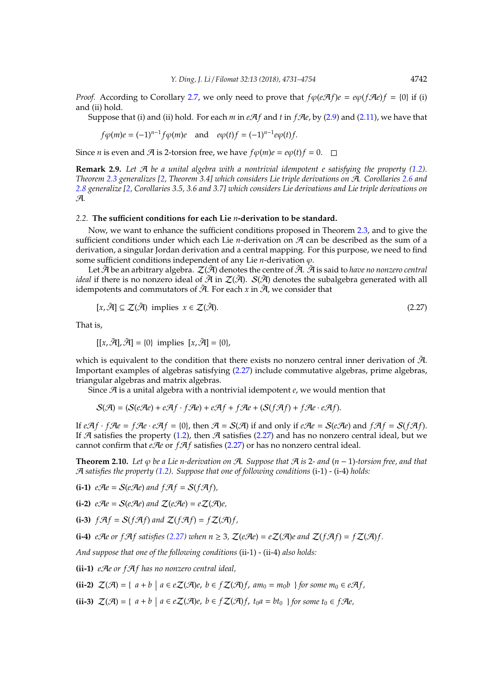*Proof.* According to Corollary [2.7,](#page-10-2) we only need to prove that  $f\phi(e\mathcal{A}f)e = e\phi(f\mathcal{A}e)f = \{0\}$  if (i) and (ii) hold.

Suppose that (i) and (ii) hold. For each  $m$  in  $eA f$  and  $t$  in  $fA e$ , by [\(2.9\)](#page-4-0) and [\(2.11\)](#page-4-2), we have that

$$
f\varphi(m)e = (-1)^{n-1}f\varphi(m)e \quad \text{and} \quad e\varphi(t)f = (-1)^{n-1}e\varphi(t)f.
$$

Since *n* is even and *A* is 2-torsion free, we have  $f\varphi(m)e = e\varphi(t)f = 0$ .

**Remark 2.9.** *Let* A *be a unital algebra with a nontrivial idempotent e satisfying the property [\(1.2\)](#page-1-1). Theorem [2.3](#page-2-1) generalizes [\[2,](#page-22-2) Theorem 3.4] which considers Lie triple derivations on* A*. Corollaries [2.6](#page-10-3) and [2.8](#page-10-4) generalize [\[2,](#page-22-2) Corollaries 3.5, 3.6 and 3.7] which considers Lie derivations and Lie triple derivations on* A*.*

### *2.2.* **The su**ffi**cient conditions for each Lie** *n***-derivation to be standard.**

Now, we want to enhance the sufficient conditions proposed in Theorem [2.3,](#page-2-1) and to give the sufficient conditions under which each Lie *n*-derivation on A can be described as the sum of a derivation, a singular Jordan derivation and a central mapping. For this purpose, we need to find some sufficient conditions independent of any Lie *n*-derivation  $\varphi$ .

Let  $\tilde{A}$  be an arbitrary algebra.  $\mathcal{Z}(\tilde{A})$  denotes the centre of  $\tilde{A}$ .  $\tilde{A}$  is said to *have no nonzero central ideal* if there is no nonzero ideal of  $\tilde{A}$  in  $\mathcal{Z}(\tilde{A})$ .  $S(\tilde{A})$  denotes the subalgebra generated with all idempotents and commutators of  $\tilde{A}$ . For each *x* in  $\tilde{A}$ , we consider that

<span id="page-11-0"></span>
$$
[x,\tilde{\mathcal{A}}] \subseteq \mathcal{Z}(\tilde{\mathcal{A}}) \text{ implies } x \in \mathcal{Z}(\tilde{\mathcal{A}}). \tag{2.27}
$$

That is,

$$
[[x,\tilde{\mathcal{A}}],\tilde{\mathcal{A}}] = \{0\} \text{ implies } [x,\tilde{\mathcal{A}}] = \{0\},
$$

which is equivalent to the condition that there exists no nonzero central inner derivation of  $\tilde{\mathcal{A}}$ . Important examples of algebras satisfying [\(2.27\)](#page-11-0) include commutative algebras, prime algebras, triangular algebras and matrix algebras.

Since A is a unital algebra with a nontrivial idempotent *e*, we would mention that

 $S(\mathcal{A}) = (S(e\mathcal{A}e) + e\mathcal{A}f \cdot f\mathcal{A}e) + e\mathcal{A}f + f\mathcal{A}e + (S(f\mathcal{A}f) + f\mathcal{A}e \cdot e\mathcal{A}f).$ 

If  $e \mathcal{A} f \cdot f \mathcal{A} e = f \mathcal{A} e \cdot e \mathcal{A} f = \{0\}$ , then  $\mathcal{A} = \mathcal{S}(\mathcal{A})$  if and only if  $e \mathcal{A} e = \mathcal{S} (e \mathcal{A} e)$  and  $f \mathcal{A} f = \mathcal{S} (f \mathcal{A} f)$ . If A satisfies the property [\(1.2\)](#page-1-1), then A satisfies [\(2.27\)](#page-11-0) and has no nonzero central ideal, but we cannot confirm that  $eAe$  or  $fA f$  satisfies [\(2.27\)](#page-11-0) or has no nonzero central ideal.

<span id="page-11-1"></span>**Theorem 2.10.** *Let* ϕ *be a Lie n-derivation on* A*. Suppose that* A *is* 2*- and* (*n* − 1)*-torsion free, and that* A *satisfies the property [\(1.2\)](#page-1-1). Suppose that one of following conditions* (i-1) - (i-4) *holds:*

**(i-1)**  $e\mathcal{A}e = \mathcal{S}(e\mathcal{A}e)$  and  $f\mathcal{A}f = \mathcal{S}(f\mathcal{A}f)$ ,

 $(i-2)$   $e\mathcal{A}e = S(e\mathcal{A}e)$  and  $Z(e\mathcal{A}e) = eZ(\mathcal{A}e)$ .

**(i-3)**  $f \mathcal{A} f = S(f \mathcal{A} f)$  and  $Z(f \mathcal{A} f) = f Z(\mathcal{A}) f$ ,

**(i-4)** *eAe or fAf satisfies* [\(2.27\)](#page-11-0) *when*  $n \geq 3$ ,  $\mathcal{Z}(eAe) = e\mathcal{Z}(A)e$  *and*  $\mathcal{Z}(fAf) = f\mathcal{Z}(Af)f$ .

*And suppose that one of the following conditions* (ii-1) - (ii-4) *also holds:*

**(ii-1)** *e*A*e or f*A*f has no nonzero central ideal,*

**(ii-2)**  $\mathcal{Z}(\mathcal{A}) = \{ a + b \mid a \in e\mathcal{Z}(\mathcal{A})e, b \in f\mathcal{Z}(\mathcal{A})f, am_0 = m_0b \}$  for some  $m_0 \in e\mathcal{A}f$ ,

**(ii-3)**  $\mathcal{Z}(\mathcal{A}) = \{ a + b \mid a \in e\mathcal{Z}(\mathcal{A})e, b \in f\mathcal{Z}(\mathcal{A})f, t_0a = bt_0 \}$  for some  $t_0 \in f\mathcal{A}e$ ,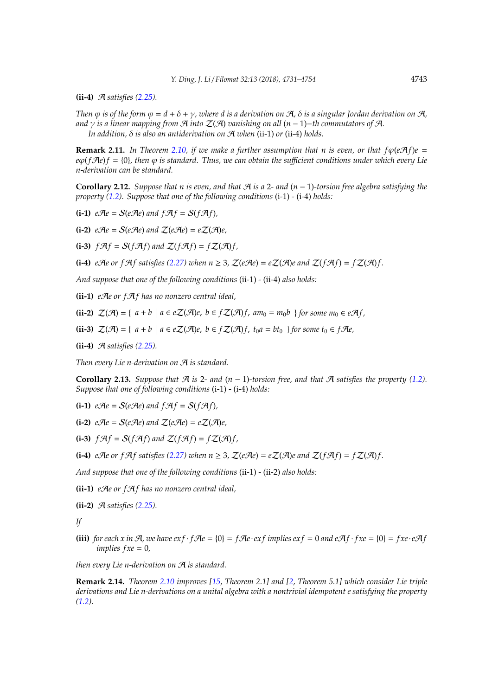**(ii-4)** A *satisfies [\(2.25\)](#page-10-0).*

*Then*  $\varphi$  *is of the form*  $\varphi = d + \delta + \gamma$ *, where d is a derivation on*  $\mathcal{A}$ ,  $\delta$  *is a singular Iordan derivation on*  $\mathcal{A}$ . *and* γ *is a linear mapping from* A *into* Z(A) *vanishing on all* (*n* − 1)−*th commutators of* A*. In addition,* δ *is also an antiderivation on* A *when* (ii*-*1) *or* (ii*-*4) *holds.*

**Remark 2.11.** *In Theorem [2.10,](#page-11-1) if we make a further assumption that n is even, or that*  $f\varphi$ *(eAf)e =*  $e\varphi$ (*f* $\mathcal{A}e$ )*f* = {0}, then  $\varphi$  *is standard. Thus, we can obtain the sufficient conditions under which every Lie n-derivation can be standard.*

<span id="page-12-1"></span>**Corollary 2.12.** Suppose that n is even, and that  $\mathcal{A}$  is a 2- and  $(n-1)$ -torsion free algebra satisfying the *property [\(1.2\)](#page-1-1). Suppose that one of the following conditions* (i-1) - (i-4) *holds:*

**(i-1)**  $e\mathcal{A}e = \mathcal{S}(e\mathcal{A}e)$  and  $f\mathcal{A}f = \mathcal{S}(f\mathcal{A}f)$ ,

**(i-2)**  $e\mathcal{A}e = \mathcal{S}(e\mathcal{A}e)$  and  $\mathcal{Z}(e\mathcal{A}e) = e\mathcal{Z}(\mathcal{A})e$ ,

**(i-3)**  $f \mathcal{A} f = S(f \mathcal{A} f)$  and  $Z(f \mathcal{A} f) = f Z(\mathcal{A}) f$ ,

**(i-4)** *e*A*e* or *f*A*f* satisfies [\(2.27\)](#page-11-0) when  $n \geq 3$ ,  $\mathcal{Z}(eAe) = e\mathcal{Z}(A)e$  and  $\mathcal{Z}(fAf) = f\mathcal{Z}(Af)$ .

*And suppose that one of the following conditions* (ii-1) - (ii-4) *also holds:*

**(ii-1)** *e*A*e or f*A*f has no nonzero central ideal,*

**(ii-2)**  $\mathcal{Z}(\mathcal{A}) = \{ a + b \mid a \in e\mathcal{Z}(\mathcal{A})e, b \in f\mathcal{Z}(\mathcal{A})f, am_0 = m_0b \}$  for some  $m_0 \in e\mathcal{A}f$ ,

**(ii-3)**  $\mathcal{Z}(\mathcal{A}) = \{ a + b \mid a \in e\mathcal{Z}(\mathcal{A})e, b \in f\mathcal{Z}(\mathcal{A})f, t_0a = bt_0 \}$  for some  $t_0 \in f\mathcal{A}e$ ,

**(ii-4)** A *satisfies [\(2.25\)](#page-10-0).*

*Then every Lie n-derivation on* A *is standard.*

<span id="page-12-0"></span>**Corollary 2.13.** *Suppose that*  $\mathcal{A}$  *is* 2*- and*  $(n - 1)$ *-torsion free, and that*  $\mathcal{A}$  *satisfies the property [\(1.2\)](#page-1-1). Suppose that one of following conditions* (i-1) - (i-4) *holds:*

**(i-1)**  $e\mathcal{A}e = \mathcal{S}(e\mathcal{A}e)$  and  $f\mathcal{A}f = \mathcal{S}(f\mathcal{A}f)$ ,

 $(i-2)$   $e\mathcal{A}e = S(e\mathcal{A}e)$  and  $Z(e\mathcal{A}e) = eZ(\mathcal{A})e$ ,

**(i-3)**  $f \mathcal{A} f = S(f \mathcal{A} f)$  and  $Z(f \mathcal{A} f) = f Z(\mathcal{A}) f$ ,

**(i-4)** *eAe or fAf satisfies* [\(2.27\)](#page-11-0) *when*  $n \geq 3$ ,  $\mathcal{Z}(eAe) = e\mathcal{Z}(A)e$  *and*  $\mathcal{Z}(fAf) = f\mathcal{Z}(Af)f$ .

*And suppose that one of the following conditions* (ii-1) - (ii-2) *also holds:*

**(ii-1)** *e*A*e or f*A*f has no nonzero central ideal,*

**(ii-2)** A *satisfies [\(2.25\)](#page-10-0).*

*If*

**(iii)** *for each x in*  $\mathcal{A}$ *, we have*  $ext{erf}$   $\mathcal{A}e = \{0\} = f\mathcal{A}e \cdot ext$  *f implies*  $ext{erf} = 0$  *and*  $ext{erf}$   $\mathcal{A}f \cdot fxe = \{0\} = fxe \cdot e\mathcal{A}f$ *implies f xe* = 0*,*

*then every Lie n-derivation on* A *is standard.*

**Remark 2.14.** *Theorem [2.10](#page-11-1) improves [\[15,](#page-23-0) Theorem 2.1] and [\[2,](#page-22-2) Theorem 5.1] which consider Lie triple derivations and Lie n-derivations on a unital algebra with a nontrivial idempotent e satisfying the property [\(1.2\)](#page-1-1).*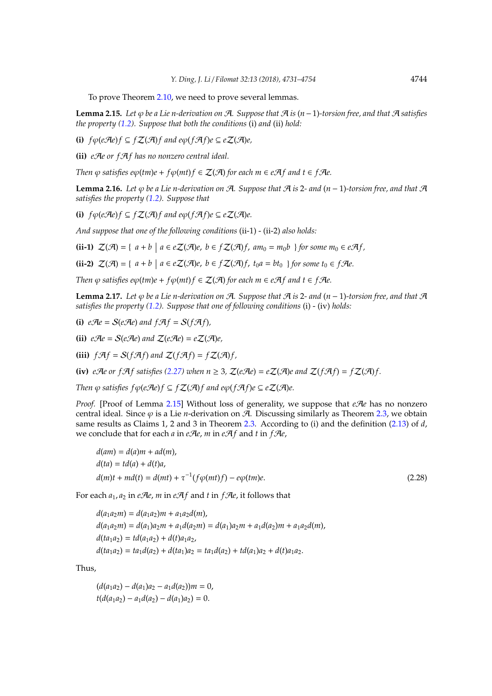To prove Theorem [2.10,](#page-11-1) we need to prove several lemmas.

<span id="page-13-0"></span>**Lemma 2.15.** Let  $\varphi$  be a Lie n-derivation on  $\varphi$ *A*. Suppose that  $\varphi$  *A* is (*n*−1)*-torsion free, and that*  $\varphi$  *A satisfies the property [\(1.2\)](#page-1-1). Suppose that both the conditions* (i) *and* (ii) *hold:*

**(i)** *f*ϕ(*e*A*e*)*f* ⊆ *f*Z(A)*f and e*ϕ(*f*A*f*)*e* ⊆ *e*Z(A)*e,*

**(ii)** *e*A*e or f*A*f has no nonzero central ideal.*

*Then*  $\varphi$  *satisfies e* $\varphi$ (*tm*)*e* + *f* $\varphi$ (*mt*)*f*  $\in$   $Z(\mathcal{A})$  *for each m*  $\in$  *eAf and t*  $\in$  *fAe.* 

<span id="page-13-2"></span>**Lemma 2.16.** *Let*  $\varphi$  *be a Lie n-derivation on*  $\mathcal{A}$ *. Suppose that*  $\mathcal{A}$  *is* 2*- and*  $(n-1)$ *-torsion free, and that*  $\mathcal{A}$ *satisfies the property [\(1.2\)](#page-1-1). Suppose that*

**(i)**  $f\phi(e\mathcal{A}e)f ⊆ fZ(\mathcal{A})f$  and  $e\phi(f\mathcal{A}f)e ⊆ eZ(\mathcal{A})e$ .

*And suppose that one of the following conditions* (ii-1) - (ii-2) *also holds:*

**(ii-1)**  $\mathcal{Z}(\mathcal{A}) = \{ a + b \mid a \in e\mathcal{Z}(\mathcal{A})e, b \in f\mathcal{Z}(\mathcal{A})f, am_0 = m_0b \}$  for some  $m_0 \in e\mathcal{A}f$ ,

**(ii-2)**  $\mathcal{Z}(\mathcal{A}) = \{ a + b \mid a \in e\mathcal{Z}(\mathcal{A})e, b \in f\mathcal{Z}(\mathcal{A})f, t_0a = bt_0 \}$  for some  $t_0 \in f\mathcal{A}e$ .

*Then*  $\varphi$  *satisfies e* $\varphi$ (*tm*)*e* + *f* $\varphi$ (*mt*)*f*  $\in$   $Z(\mathcal{A})$  *for each m*  $\in$  *eAf and t*  $\in$  *fAe.* 

<span id="page-13-3"></span>**Lemma 2.17.** *Let*  $\varphi$  *be a Lie n-derivation on*  $\mathcal{A}$ *. Suppose that*  $\mathcal{A}$  *is* 2*- and*  $(n-1)$ *-torsion free, and that*  $\mathcal{A}$ *satisfies the property [\(1.2\)](#page-1-1). Suppose that one of following conditions* (i) - (iv) *holds:*

**(i)**  $e\mathcal{A}e = \mathcal{S}(e\mathcal{A}e)$  and  $f\mathcal{A}f = \mathcal{S}(f\mathcal{A}f)$ ,

**(ii)**  $e\mathcal{A}e = \mathcal{S}(e\mathcal{A}e)$  and  $\mathcal{Z}(e\mathcal{A}e) = e\mathcal{Z}(\mathcal{A})e$ ,

**(iii)**  $f \mathcal{A} f = \mathcal{S}(f \mathcal{A} f)$  and  $\mathcal{Z}(f \mathcal{A} f) = f \mathcal{Z}(\mathcal{A}) f$ ,

**(iv)**  $e\mathcal{A}e$  or  $f\mathcal{A}f$  satisfies [\(2.27\)](#page-11-0) when  $n \geq 3$ ,  $\mathcal{Z}(e\mathcal{A}e) = e\mathcal{Z}(\mathcal{A})e$  and  $\mathcal{Z}(f\mathcal{A}f) = f\mathcal{Z}(\mathcal{A})f$ .

*Then*  $\varphi$  *satisfies*  $f\varphi$ (*eAe*) $f \subseteq fZ(\mathcal{A})f$  *and e* $\varphi$ (*fAf*)*e*  $\subseteq$  *eZ*(*A*)*e*.

*Proof.* [Proof of Lemma [2.15\]](#page-13-0) Without loss of generality, we suppose that  $eAe$  has no nonzero central ideal. Since  $\varphi$  is a Lie *n*-derivation on  $\tilde{A}$ . Discussing similarly as Theorem [2.3,](#page-2-1) we obtain same results as Claims 1, 2 and 3 in Theorem [2.3.](#page-2-1) According to (i) and the definition [\(2.13\)](#page-4-4) of *d*, we conclude that for each *a* in *e*A*e*, *m* in *e*A*f* and *t* in *f*A*e*,

<span id="page-13-1"></span> $d(am) = d(a)m + ad(m)$ ,  $d(ta) = td(a) + d(t)a$ ,  $d(m)t + md(t) = d(mt) + \tau^{-1}(f\varphi(mt)f) - e\varphi(tm)e.$  (2.28)

For each  $a_1$ ,  $a_2$  in *e*A*e*, *m* in *eAf* and *t* in *fAe*, it follows that

 $d(a_1a_2m) = d(a_1a_2)m + a_1a_2d(m)$ ,  $d(a_1a_2m) = d(a_1)a_2m + a_1d(a_2m) = d(a_1)a_2m + a_1d(a_2)m + a_1a_2d(m),$  $d(ta_1a_2) = td(a_1a_2) + d(t)a_1a_2$  $d(ta_1a_2) = ta_1d(a_2) + d(ta_1)a_2 = ta_1d(a_2) + td(a_1)a_2 + d(t)a_1a_2.$ 

Thus,

 $(d(a_1a_2) - d(a_1)a_2 - a_1d(a_2))m = 0$  $t(d(a_1a_2) - a_1d(a_2) - d(a_1)a_2) = 0.$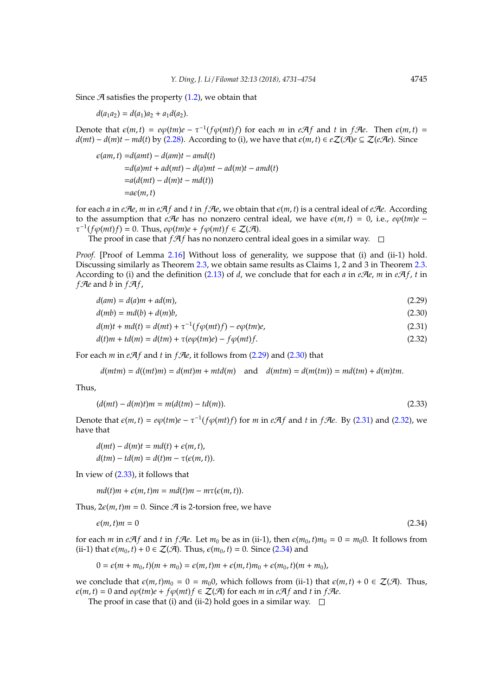Since  $A$  satisfies the property [\(1.2\)](#page-1-1), we obtain that

 $d(a_1a_2) = d(a_1)a_2 + a_1d(a_2).$ 

Denote that  $\epsilon(m, t) = e\varphi(tm)e - \tau^{-1}(f\varphi(mt)f)$  for each *m* in *eAf* and *t* in *fAe*. Then  $\epsilon(m, t) =$ *d*(*mt*) − *d*(*m*)*t* − *md*(*t*) by [\(2.28\)](#page-13-1). According to (i), we have that  $\epsilon$ (*m*, *t*) ∈ *e*Z( $\mathcal{A}$ )*e* ⊆ Z(*e* $\mathcal{A}$ *e*). Since

$$
\varepsilon(am,t) = d(amt) - d(am)t - amd(t)
$$
  
=d(a)mt + ad(mt) - d(a)mt - ad(m)t - amd(t)  
=a(d(mt) - d(m)t - md(t))  
=ae(m,t)

for each *a* in *e*A*e*, *m* in *eAf* and *t* in *fAe*, we obtain that  $\epsilon$ (*m*, *t*) is a central ideal of *eAe*. According to the assumption that *e* $\mathcal{A}$ *e* has no nonzero central ideal, we have  $\varepsilon$ (*m*, *t*) = 0, i.e.,  $e\varphi$ (*tm*) $e$  –  $\tau^{-1}(f\varphi(mt)f) = 0$ . Thus,  $e\varphi(tm)e + f\varphi(mt)f \in \mathcal{Z}(\mathcal{A})$ .

The proof in case that  $f \mathcal{A} f$  has no nonzero central ideal goes in a similar way.  $\Box$ 

*Proof.* [Proof of Lemma [2.16\]](#page-13-2) Without loss of generality, we suppose that (i) and (ii-1) hold. Discussing similarly as Theorem [2.3,](#page-2-1) we obtain same results as Claims 1, 2 and 3 in Theorem [2.3.](#page-2-1) According to (i) and the definition [\(2.13\)](#page-4-4) of *d*, we conclude that for each *a* in *e*A*e*, *m* in *eAf*, *t* in *f* $\mathcal{A}$ *e* and  $\bar{b}$  in  $f \mathcal{A} f$ ,

<span id="page-14-0"></span>

| $d(am) = d(a)m + ad(m),$ | (2.29) |
|--------------------------|--------|
|--------------------------|--------|

 $d(mb) = md(b) + d(m)b$ , (2.30)

<span id="page-14-1"></span>
$$
d(m)t + md(t) = d(mt) + \tau^{-1}(f\varphi(mt)f) - e\varphi(tm)e,
$$
\n(2.31)

<span id="page-14-2"></span>
$$
d(t)m + td(m) = d(tm) + \tau(e\varphi(tm)e) - f\varphi(mt)f.
$$
\n(2.32)

For each *m* in  $eA$ *f* and *t* in *fAe*, it follows from [\(2.29\)](#page-14-0) and [\(2.30\)](#page-14-1) that

<span id="page-14-4"></span><span id="page-14-3"></span> $d(mtm) = d((mt)m) = d(mt)m + mtd(m)$  and  $d(mtm) = d(m(tm)) = md(tm) + d(m)tm$ .

Thus,

$$
(d(mt) – d(m)t)m = m(d(tm) – td(m)).
$$
\n(2.33)

Denote that  $\epsilon(m, t) = e\varphi(tm)e - \tau^{-1}(f\varphi(mt)f)$  for *m* in *eAf* and *t* in *fAe*. By [\(2.31\)](#page-14-2) and [\(2.32\)](#page-14-3), we have that

$$
d(mt) – d(m)t = md(t) + \epsilon(m, t),
$$
  

$$
d(tm) – td(m) = d(t)m – \tau(\epsilon(m, t)).
$$

In view of [\(2.33\)](#page-14-4), it follows that

<span id="page-14-5"></span> $md(t)m + \epsilon(m, t)m = md(t)m - m\tau(\epsilon(m, t)).$ 

Thus,  $2\varepsilon(m, t)m = 0$ . Since  $\mathcal A$  is 2-torsion free, we have

$$
\epsilon(m,t)m = 0\tag{2.34}
$$

for each *m* in *eAf* and *t* in *fAe*. Let  $m_0$  be as in (ii-1), then  $\epsilon(m_0, t)m_0 = 0 = m_0 0$ . It follows from (ii-1) that  $\epsilon(m_0, t) + 0 \in \mathcal{Z}(\mathcal{A})$ . Thus,  $\epsilon(m_0, t) = 0$ . Since [\(2.34\)](#page-14-5) and

$$
0 = \epsilon(m + m_0, t)(m + m_0) = \epsilon(m, t)m + \epsilon(m, t)m_0 + \epsilon(m_0, t)(m + m_0),
$$

we conclude that  $\varepsilon(m, t)m_0 = 0 = m_0$ , which follows from (ii-1) that  $\varepsilon(m, t) + 0 \in \mathcal{Z}(\mathcal{A})$ . Thus,  $\epsilon(m, t) = 0$  and  $e\varphi(tm)e + f\varphi(mt)f \in \mathcal{Z}(\mathcal{A})$  for each *m* in  $e\mathcal{A}f$  and *t* in  $f\mathcal{A}e$ .

The proof in case that (i) and (ii-2) hold goes in a similar way.  $\square$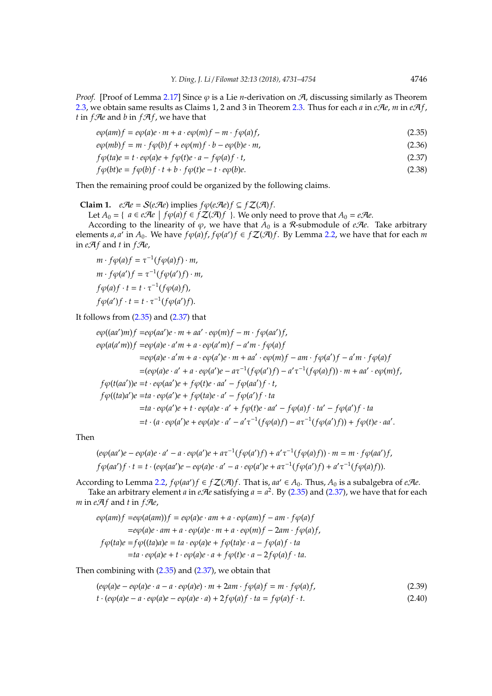*Proof.* [Proof of Lemma [2.17\]](#page-13-3) Since  $\varphi$  is a Lie *n*-derivation on  $\varphi$ , discussing similarly as Theorem [2.3,](#page-2-1) we obtain same results as Claims 1, 2 and 3 in Theorem [2.3.](#page-2-1) Thus for each *a* in *eAe*, *m* in *eAf*, *t* in  $f$ *Ae* and *b* in  $f$ *A* $f$ *,* we have that

<span id="page-15-0"></span> $e\phi(am)f = e\phi(a)e \cdot m + a \cdot e\phi(m)f - m \cdot f\phi(a)f,$  (2.35)

$$
e\varphi(mb)f = m \cdot f\varphi(b)f + e\varphi(m)f \cdot b - e\varphi(b)e \cdot m,
$$
\n(2.36)

$$
f\varphi(ta)e = t \cdot e\varphi(a)e + f\varphi(t)e \cdot a - f\varphi(a)f \cdot t,\tag{2.37}
$$

<span id="page-15-1"></span>
$$
f\varphi(bt)e = f\varphi(b)f \cdot t + b \cdot f\varphi(t)e - t \cdot e\varphi(b)e. \tag{2.38}
$$

Then the remaining proof could be organized by the following claims.

**Claim 1.**  $e\mathcal{A}e = \mathcal{S}(e\mathcal{A}e)$  implies  $f\varphi(e\mathcal{A}e)f \subseteq f\mathcal{Z}(\mathcal{A})f$ .

Let *A*<sup>0</sup> = { *a* ∈ *e* $\mathcal{A}$ *e f*  $\varphi$ (*a*)*f* ∈ *f*  $\mathcal{Z}(\mathcal{A})f$  }. We only need to prove that *A*<sup>0</sup> = *e* $\mathcal{A}e$ .

According to the linearity of  $\varphi$ , we have that  $A_0$  is a R-submodule of *eRe*. Take arbitrary elements *a*, *a*<sup> $\prime$ </sup> in *A*<sub>0</sub>. We have  $f\phi(a)f$ ,  $f\phi(a')f \in f\mathcal{Z}(\mathcal{A})f$ . By Lemma [2.2,](#page-2-4) we have that for each *m* in  $eA f$  and *t* in  $fA$ *e*,

$$
m \cdot f\varphi(a)f = \tau^{-1}(f\varphi(a)f) \cdot m,
$$
  
\n
$$
m \cdot f\varphi(a')f = \tau^{-1}(f\varphi(a')f) \cdot m,
$$
  
\n
$$
f\varphi(a)f \cdot t = t \cdot \tau^{-1}(f\varphi(a)f),
$$
  
\n
$$
f\varphi(a')f \cdot t = t \cdot \tau^{-1}(f\varphi(a')f).
$$

It follows from  $(2.35)$  and  $(2.37)$  that

$$
e\varphi((aa')m)f = e\varphi(aa')e \cdot m + aa' \cdot e\varphi(m)f - m \cdot f\varphi(aa')f,
$$
  
\n
$$
e\varphi(a(a'm))f = e\varphi(a)e \cdot a'm + a \cdot e\varphi(a'm)f - a'm \cdot f\varphi(a)f
$$
  
\n
$$
= e\varphi(a)e \cdot a'm + a \cdot e\varphi(a')e \cdot m + aa' \cdot e\varphi(m)f - am \cdot f\varphi(a')f - a'm \cdot f\varphi(a)f
$$
  
\n
$$
= (e\varphi(a)e \cdot a' + a \cdot e\varphi(a')e - a\tau^{-1}(f\varphi(a')f) - a'\tau^{-1}(f\varphi(a)f)) \cdot m + aa' \cdot e\varphi(m)f,
$$
  
\n
$$
f\varphi(t(aa'))e = t \cdot e\varphi(aa')e + f\varphi(t)e \cdot aa' - f\varphi(aa')f \cdot ta
$$
  
\n
$$
f\varphi((ta)a')e = ta \cdot e\varphi(a')e + f\varphi(ta)e \cdot a' - f\varphi(a')f \cdot ta
$$
  
\n
$$
= ta \cdot e\varphi(a')e + t \cdot e\varphi(a)e \cdot a' - a'\tau^{-1}(f\varphi(a)f) - a\tau^{-1}(f\varphi(a')f) + f\varphi(t)e \cdot aa'.
$$

Then

$$
(e\varphi(aa')e - e\varphi(a)e \cdot a' - a \cdot e\varphi(a')e + a\tau^{-1}(f\varphi(a')f) + a'\tau^{-1}(f\varphi(a)f)) \cdot m = m \cdot f\varphi(aa')f,
$$
  

$$
f\varphi(aa')f \cdot t = t \cdot (e\varphi(aa')e - e\varphi(a)e \cdot a' - a \cdot e\varphi(a')e + a\tau^{-1}(f\varphi(a')f) + a'\tau^{-1}(f\varphi(a)f)).
$$

According to Lemma [2.2,](#page-2-4)  $f\varphi(aa')f \in f\mathcal{Z}(\mathcal{A})f$ . That is,  $aa' \in A_0$ . Thus,  $A_0$  is a subalgebra of  $e\mathcal{A}e$ . Take an arbitrary element *a* in *eAe* satisfying  $a = a^2$ . By [\(2.35\)](#page-15-0) and [\(2.37\)](#page-15-1), we have that for each *m* in  $eA$ *f* and *t* in  $\hat{f}Ae$ ,

$$
e\varphi(am)f = e\varphi(a(am))f = e\varphi(a)e \cdot am + a \cdot e\varphi(am)f - am \cdot f\varphi(a)f
$$
  
\n
$$
= e\varphi(a)e \cdot am + a \cdot e\varphi(a)e \cdot m + a \cdot e\varphi(m)f - 2am \cdot f\varphi(a)f,
$$
  
\n
$$
f\varphi(ta)e = f\varphi((ta)a)e = ta \cdot e\varphi(a)e + f\varphi(ta)e \cdot a - f\varphi(a)f \cdot ta
$$
  
\n
$$
= ta \cdot e\varphi(a)e + t \cdot e\varphi(a)e \cdot a + f\varphi(t)e \cdot a - 2f\varphi(a)f \cdot ta.
$$

Then combining with  $(2.35)$  and  $(2.37)$ , we obtain that

<span id="page-15-3"></span><span id="page-15-2"></span>
$$
(e\varphi(a)e - e\varphi(a)e \cdot a - a \cdot e\varphi(a)e) \cdot m + 2am \cdot f\varphi(a)f = m \cdot f\varphi(a)f,
$$
\n(2.39)

 $t \cdot (e\phi(a)e - a \cdot e\phi(a)e - e\phi(a)e \cdot a) + 2f\phi(a)f \cdot ta = f\phi(a)f \cdot t.$  (2.40)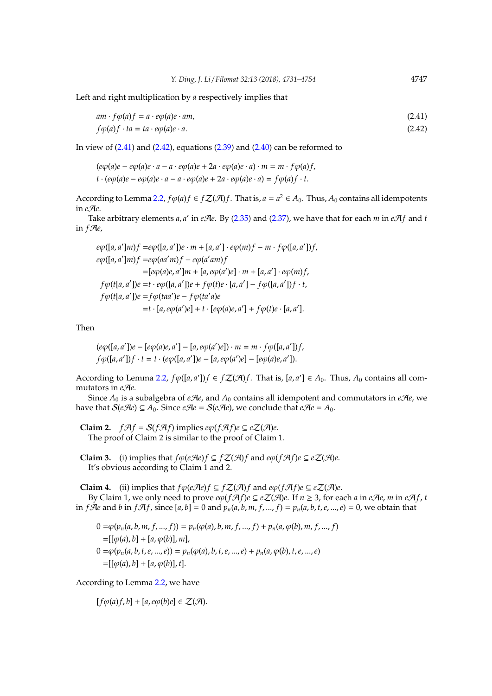Left and right multiplication by *a* respectively implies that

<span id="page-16-1"></span><span id="page-16-0"></span>
$$
am \cdot f\varphi(a)f = a \cdot e\varphi(a)e \cdot am,
$$
  
\n
$$
f\varphi(a)f \cdot ta = ta \cdot e\varphi(a)e \cdot a.
$$
\n(2.42)

In view of  $(2.41)$  and  $(2.42)$ , equations  $(2.39)$  and  $(2.40)$  can be reformed to

 $(e\varphi(a)e - e\varphi(a)e \cdot a - a \cdot e\varphi(a)e + 2a \cdot e\varphi(a)e \cdot a) \cdot m = m \cdot f\varphi(a)f,$  $t \cdot (e\phi(a)e - e\phi(a)e \cdot a - a \cdot e\phi(a)e + 2a \cdot e\phi(a)e \cdot a) = f\phi(a)f \cdot t.$ 

According to Lemma [2.2,](#page-2-4)  $f\varphi(a)f \in f\mathcal{Z}(\mathcal{A})f$ . That is,  $a = a^2 \in A_0$ . Thus,  $A_0$  contains all idempotents in *e*A*e*.

Take arbitrary elements *a*, *a'* in *eAe*. By [\(2.35\)](#page-15-0) and [\(2.37\)](#page-15-1), we have that for each *m* in *eAf* and *t* in  $f$ *Ae*,

 $e\phi([a, a']m)f = e\phi([a, a'])e \cdot m + [a, a'] \cdot e\phi(m)f - m \cdot f\phi([a, a'])f$  $e\varphi([a, a']m)f = e\varphi(aa'm)f - e\varphi(a'am)f$  $=[e\varphi(a)e, a']m + [a, e\varphi(a')e] \cdot m + [a, a'] \cdot e\varphi(m)f,$  $f\phi(t[a, a'])e = t \cdot e\phi([a, a'])e + f\phi(t)e \cdot [a, a'] - f\phi([a, a'])f \cdot t$ ,  $f\phi(t[a, a'])e = f\phi(taa')e - f\phi(ta'a)e$  $=t \cdot [a, e\varphi(a')e] + t \cdot [e\varphi(a)e, a'] + f\varphi(t)e \cdot [a, a']$ .

Then

$$
(e\varphi([a, a'])e - [e\varphi(a)e, a'] - [a, e\varphi(a')e]) \cdot m = m \cdot f\varphi([a, a'])f,
$$
  

$$
f\varphi([a, a'])f \cdot t = t \cdot (e\varphi([a, a'])e - [a, e\varphi(a')e] - [e\varphi(a)e, a']).
$$

According to Lemma [2.2,](#page-2-4)  $f\varphi([a, a'])f \in f\mathcal{Z}(\mathcal{A})f$ . That is,  $[a, a'] \in A_0$ . Thus,  $A_0$  contains all commutators in *e*A*e*.

Since  $A_0$  is a subalgebra of *eAe*, and  $A_0$  contains all idempotent and commutators in *eAe*, we have that  $S(eAe) \subseteq A_0$ . Since  $eAe = S(eAe)$ , we conclude that  $eAe = A_0$ .

**Claim 2.**  $f \mathcal{A} f = \mathcal{S}(f \mathcal{A} f)$  implies  $e \varphi(f \mathcal{A} f) e \subseteq e \mathcal{Z}(\mathcal{A}) e$ . The proof of Claim 2 is similar to the proof of Claim 1.

**Claim 3.** (i) implies that  $f\phi(e\mathcal{A}e)f \subseteq f\mathcal{Z}(\mathcal{A})f$  and  $e\phi(f\mathcal{A}f)e \subseteq e\mathcal{Z}(\mathcal{A})e$ . It's obvious according to Claim 1 and 2.

**Claim 4.** (ii) implies that  $f\phi(e\mathcal{A}e)f \subseteq f\mathcal{Z}(\mathcal{A})f$  and  $e\phi(f\mathcal{A}f)e \subseteq e\mathcal{Z}(\mathcal{A})e$ .

By Claim 1, we only need to prove  $e\varphi(f\mathcal{A}f)e \subseteq e\mathcal{Z}(\mathcal{A})e$ . If  $n \geq 3$ , for each *a* in *e*A*e*, *m* in *eAf*, *t* in *f* $\mathcal{A}e$  and *b* in *f* $\mathcal{A}f$ , since [a, b] = 0 and  $p_n(a, b, m, f, ..., f) = p_n(a, b, t, e, ..., e) = 0$ , we obtain that

 $0 = \varphi(p_n(a, b, m, f, ..., f)) = p_n(\varphi(a), b, m, f, ..., f) + p_n(a, \varphi(b), m, f, ..., f)$  $=[[\varphi(a), b] + [a, \varphi(b)], m],$  $0 = \varphi(p_n(a, b, t, e, ..., e)) = p_n(\varphi(a), b, t, e, ..., e) + p_n(a, \varphi(b), t, e, ..., e)$  $=[[\varphi(a), b] + [a, \varphi(b)], t].$ 

According to Lemma [2.2,](#page-2-4) we have

 $[f\varphi(a)f,b] + [a,e\varphi(b)e] \in \mathcal{Z}(\mathcal{A}).$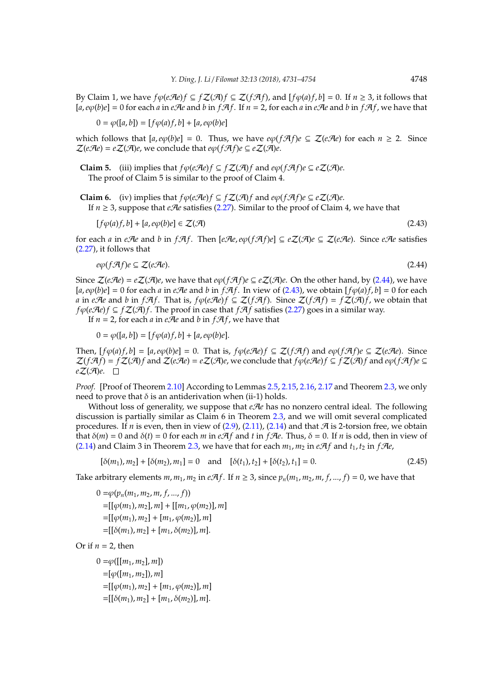By Claim 1, we have  $f\phi(e\mathcal{A}e)f$  ⊆  $fZ(\mathcal{A})f$  ⊆  $Z(f\mathcal{A}f)$ , and  $[f\phi(a)f, b] = 0$ . If  $n \ge 3$ , it follows that  $[a, e\varphi(b)e] = 0$  for each *a* in *e*A*e* and *b* in *f*A*f*. If  $n = 2$ , for each *a* in *eAe* and *b* in *fAf*, we have that

$$
0 = \varphi([a, b]) = [f\varphi(a)f, b] + [a, e\varphi(b)e]
$$

which follows that  $[a, e\varphi(b)e] = 0$ . Thus, we have  $e\varphi(f\mathcal{A}f)e \subseteq \mathcal{Z}(e\mathcal{A}e)$  for each  $n \geq 2$ . Since  $\mathcal{Z}(e\mathcal{A}e) = e\mathcal{Z}(\mathcal{A})e$ , we conclude that  $e\varphi(f\mathcal{A}f)e \subseteq e\mathcal{Z}(\mathcal{A})e$ .

**Claim 5.** (iii) implies that  $f\phi(e\mathcal{A}e)f \subseteq f\mathcal{Z}(\mathcal{A})f$  and  $e\phi(f\mathcal{A}f)e \subseteq e\mathcal{Z}(\mathcal{A})e$ . The proof of Claim 5 is similar to the proof of Claim 4.

**Claim 6.** (iv) implies that  $f\phi(e\mathcal{A}e)f \subseteq f\mathcal{Z}(\mathcal{A})f$  and  $e\phi(f\mathcal{A}f)e \subseteq e\mathcal{Z}(\mathcal{A})e$ . If  $n \geq 3$ , suppose that *e*A*e* satisfies [\(2.27\)](#page-11-0). Similar to the proof of Claim 4, we have that

<span id="page-17-1"></span><span id="page-17-0"></span>
$$
[f\varphi(a)f, b] + [a, e\varphi(b)e] \in \mathcal{Z}(\mathcal{A})
$$
\n(2.43)

for each *a* in *e* $\mathcal{A}$ *e* and *b* in  $f\mathcal{A}f$ . Then  $[e\mathcal{A}e, e\varphi(f\mathcal{A}f)e] \subseteq e\mathcal{Z}(\mathcal{A})e \subseteq \mathcal{Z}(e\mathcal{A}e)$ . Since  $e\mathcal{A}e$  satisfies [\(2.27\)](#page-11-0), it follows that

$$
e\varphi(f\mathcal{A}f)e \subseteq \mathcal{Z}(e\mathcal{A}e). \tag{2.44}
$$

Since  $\mathcal{Z}(e\mathcal{A}e) = e\mathcal{Z}(\mathcal{A})e$ , we have that  $e\varphi(f\mathcal{A}f)e \subseteq e\mathcal{Z}(\mathcal{A})e$ . On the other hand, by [\(2.44\)](#page-17-0), we have  $[a, e\phi(b)e] = 0$  for each *a* in *e* $\mathcal{A}e$  and *b* in  $f\mathcal{A}f$ . In view of [\(2.43\)](#page-17-1), we obtain  $[f\phi(a)f, b] = 0$  for each *a* in *eAe* and *b* in *fAf*. That is, *f* $\phi$ (*eAe*)*f* ⊆  $Z$ (*fAf*). Since  $Z$ (*fAf*) = *f* $Z$ (*A*)*f*, we obtain that *f* $\phi$ (*eAe*)*f* ⊆ *f*Z(*A*)*f*. The proof in case that *fAf* satisfies [\(2.27\)](#page-11-0) goes in a similar way.

If  $n = 2$ , for each *a* in *eAe* and *b* in *fAf*, we have that

$$
0 = \varphi([a, b]) = [f\varphi(a)f, b] + [a, e\varphi(b)e].
$$

Then,  $[f\varphi(a)f,b] = [a,e\varphi(b)e] = 0$ . That is,  $f\varphi(e\mathcal{A}e)f \subseteq \mathcal{Z}(f\mathcal{A}f)$  and  $e\varphi(f\mathcal{A}f)e \subseteq \mathcal{Z}(e\mathcal{A}e)$ . Since  $\mathcal{Z}(f\mathcal{A}f) = f\mathcal{Z}(\mathcal{A})f$  and  $\mathcal{Z}(e\mathcal{A}e) = e\mathcal{Z}(\mathcal{A})e$ , we conclude that  $f\phi(e\mathcal{A}e)f \subseteq f\mathcal{Z}(\mathcal{A})f$  and  $e\phi(f\mathcal{A}f)e \subseteq f$  $eZ(\mathcal{A})e$ .  $\square$ 

*Proof.* [Proof of Theorem [2.10\]](#page-11-1) According to Lemmas [2.5,](#page-9-0) [2.15,](#page-13-0) [2.16,](#page-13-2) [2.17](#page-13-3) and Theorem [2.3,](#page-2-1) we only need to prove that  $δ$  is an antiderivation when (ii-1) holds.

Without loss of generality, we suppose that *eAe* has no nonzero central ideal. The following discussion is partially similar as Claim 6 in Theorem [2.3,](#page-2-1) and we will omit several complicated procedures. If *n* is even, then in view of  $(2.9)$ ,  $(2.11)$ ,  $(2.14)$  and that  $\mathcal A$  is 2-torsion free, we obtain that  $\delta(m) = 0$  and  $\delta(t) = 0$  for each *m* in *e* $\mathcal{A}f$  and *t* in *f* $\mathcal{A}e$ . Thus,  $\delta = 0$ . If *n* is odd, then in view of [\(2.14\)](#page-4-5) and Claim 3 in Theorem [2.3,](#page-2-1) we have that for each  $m_1$ ,  $m_2$  in  $e\mathcal{A}f$  and  $t_1$ ,  $t_2$  in  $f\mathcal{A}e$ ,

<span id="page-17-2"></span>
$$
[\delta(m_1), m_2] + [\delta(m_2), m_1] = 0 \text{ and } [\delta(t_1), t_2] + [\delta(t_2), t_1] = 0. \tag{2.45}
$$

Take arbitrary elements  $m, m_1, m_2$  in  $eA f$ . If  $n \geq 3$ , since  $p_n(m_1, m_2, m, f, ..., f) = 0$ , we have that

 $0 = \varphi(p_n(m_1, m_2, m, f, ..., f))$  $=[[\varphi(m_1), m_2], m] + [[m_1, \varphi(m_2)], m]$  $=[[\varphi(m_1), m_2] + [m_1, \varphi(m_2)], m]$  $=[[\delta(m_1), m_2] + [m_1, \delta(m_2)], m].$ 

Or if  $n = 2$ , then

 $0 = \varphi([m_1, m_2], m]$  $=[\varphi([m_1, m_2]), m]$  $=[[\varphi(m_1), m_2] + [m_1, \varphi(m_2)], m]$  $=[[\delta(m_1), m_2] + [m_1, \delta(m_2)], m].$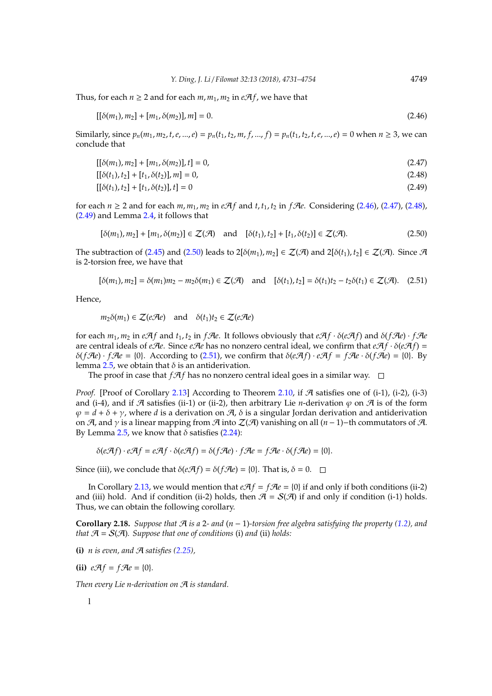Thus, for each  $n > 2$  and for each  $m, m_1, m_2$  in  $e\mathcal{A}f$ , we have that

<span id="page-18-0"></span>
$$
[[\delta(m_1), m_2] + [m_1, \delta(m_2)], m] = 0. \tag{2.46}
$$

Similarly, since  $p_n(m_1, m_2, t, e, ..., e) = p_n(t_1, t_2, m, f, ..., f) = p_n(t_1, t_2, t, e, ..., e) = 0$  when  $n \ge 3$ , we can conclude that

$$
[[\delta(m_1), m_2] + [m_1, \delta(m_2)], t] = 0,
$$
\n(2.47)

<span id="page-18-2"></span><span id="page-18-1"></span>
$$
[[\delta(t_1), t_2] + [t_1, \delta(t_2)], m] = 0,
$$
\n(2.48)

<span id="page-18-3"></span>
$$
[[\delta(t_1), t_2] + [t_1, \delta(t_2)], t] = 0 \tag{2.49}
$$

for each  $n \ge 2$  and for each  $m, m_1, m_2$  in  $e\mathcal{A}f$  and  $t, t_1, t_2$  in  $f\mathcal{A}e$ . Considering [\(2.46\)](#page-18-0), [\(2.47\)](#page-18-1), [\(2.48\)](#page-18-2), [\(2.49\)](#page-18-3) and Lemma [2.4,](#page-2-2) it follows that

<span id="page-18-5"></span><span id="page-18-4"></span>
$$
[\delta(m_1), m_2] + [m_1, \delta(m_2)] \in \mathcal{Z}(\mathcal{A}) \quad \text{and} \quad [\delta(t_1), t_2] + [t_1, \delta(t_2)] \in \mathcal{Z}(\mathcal{A}). \tag{2.50}
$$

The subtraction of [\(2.45\)](#page-17-2) and [\(2.50\)](#page-18-4) leads to  $2[\delta(m_1), m_2] \in \mathcal{Z}(\mathcal{A})$  and  $2[\delta(t_1), t_2] \in \mathcal{Z}(\mathcal{A})$ . Since  $\mathcal{A}$ is 2-torsion free, we have that

$$
[\delta(m_1), m_2] = \delta(m_1)m_2 - m_2\delta(m_1) \in \mathcal{Z}(\mathcal{A}) \text{ and } [\delta(t_1), t_2] = \delta(t_1)t_2 - t_2\delta(t_1) \in \mathcal{Z}(\mathcal{A}). \quad (2.51)
$$

Hence,

$$
m_2\delta(m_1) \in \mathcal{Z}(e\mathcal{A}e)
$$
 and  $\delta(t_1)t_2 \in \mathcal{Z}(e\mathcal{A}e)$ 

for each  $m_1$ ,  $m_2$  in  $eA f$  and  $t_1$ ,  $t_2$  in  $fA$ e. It follows obviously that  $eA f \cdot \delta(eA f)$  and  $\delta(fA e) \cdot fA e$ are central ideals of *eAe*. Since *eAe* has no nonzero central ideal, we confirm that  $eA f \cdot \delta(eA f)$  = δ(*f* $\mathcal{A}e$ ) · *f* $\mathcal{A}e$  = {0}. According to [\(2.51\)](#page-18-5), we confirm that  $\delta(e\mathcal{A}f) \cdot e\mathcal{A}f = f\mathcal{A}e \cdot \delta(f\mathcal{A}e) =$  {0}. By lemma [2.5,](#page-9-0) we obtain that  $\delta$  is an antiderivation.

The proof in case that  $f \mathcal{A} f$  has no nonzero central ideal goes in a similar way.  $\square$ 

*Proof.* [Proof of Corollary [2.13\]](#page-12-0) According to Theorem [2.10,](#page-11-1) if  $A$  satisfies one of (i-1), (i-2), (i-3) and (i-4), and if  $\mathcal A$  satisfies (ii-1) or (ii-2), then arbitrary Lie *n*-derivation  $\varphi$  on  $\mathcal A$  is of the form  $\varphi = d + \delta + \gamma$ , where *d* is a derivation on  $\varphi$ ,  $\delta$  is a singular Jordan derivation and antiderivation on  $\mathcal{A}$ , and  $\gamma$  is a linear mapping from  $\mathcal{A}$  into  $\mathcal{Z}(\mathcal{A})$  vanishing on all  $(n-1)$ -th commutators of  $\mathcal{A}$ . By Lemma [2.5,](#page-9-0) we know that  $\delta$  satisfies [\(2.24\)](#page-9-1):

$$
\delta(e\mathcal{A}f) \cdot e\mathcal{A}f = e\mathcal{A}f \cdot \delta(e\mathcal{A}f) = \delta(f\mathcal{A}e) \cdot f\mathcal{A}e = f\mathcal{A}e \cdot \delta(f\mathcal{A}e) = \{0\}.
$$

Since (iii), we conclude that  $\delta(e\mathcal{A}f) = \delta(f\mathcal{A}e) = \{0\}$ . That is,  $\delta = 0$ .  $\Box$ 

In Corollary [2.13,](#page-12-0) we would mention that  $eA f = fA e = \{0\}$  if and only if both conditions (ii-2) and (iii) hold. And if condition (ii-2) holds, then  $\mathcal{A} = \mathcal{S}(\mathcal{A})$  if and only if condition (i-1) holds. Thus, we can obtain the following corollary.

**Corollary 2.18.** *Suppose that*  $\mathcal A$  *is a* 2*- and*  $(n-1)$ -torsion free algebra satisfying the property [\(1.2\)](#page-1-1), and *that*  $\mathcal{A} = \mathcal{S}(\mathcal{A})$ *. Suppose that one of conditions (i) and (ii) holds:* 

**(i)** *n* is even, and  $\mathcal{A}$  satisfies [\(2.25\)](#page-10-0),

**(ii)**  $eA f = fA e = \{0\}.$ 

*Then every Lie n-derivation on* A *is standard.*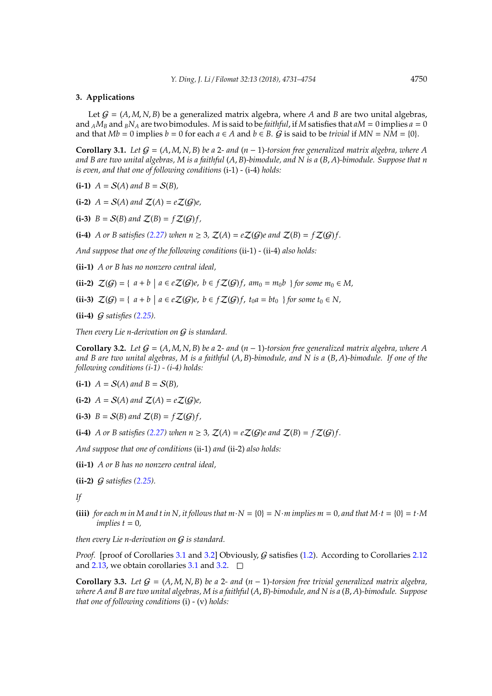#### <span id="page-19-0"></span>**3. Applications**

Let  $G = (A, M, N, B)$  be a generalized matrix algebra, where A and B are two unital algebras, and  $_A M_B$  and  $_B N_A$  are two bimodules. *M* is said to be *faithful*, if *M* satisfies that  $aM = 0$  implies  $a = 0$ and that  $Mb = 0$  implies  $b = 0$  for each  $a \in A$  and  $b \in B$ .  $G$  is said to be *trivial* if  $MN = NM = \{0\}$ .

<span id="page-19-1"></span>**Corollary 3.1.** *Let*  $G = (A, M, N, B)$  *be a* 2*- and*  $(n - 1)$ *-torsion free generalized matrix algebra, where* A *and B are two unital algebras, M is a faithful* (*A*, *B*)*-bimodule, and N is a* (*B*, *A*)*-bimodule. Suppose that n is even, and that one of following conditions* (i-1) - (i-4) *holds:*

**(i-1)**  $A = S(A)$  and  $B = S(B)$ ,

**(i-2)**  $A = S(A)$  and  $Z(A) = eZ(G)e$ ,

**(i-3)**  $B = S(B)$  and  $\mathcal{Z}(B) = f\mathcal{Z}(G)f$ ,

**(i-4)** *A or B satisfies [\(2.27\)](#page-11-0)* when  $n \geq 3$ ,  $\mathcal{Z}(A) = e\mathcal{Z}(G)e$  and  $\mathcal{Z}(B) = f\mathcal{Z}(G)f$ .

*And suppose that one of the following conditions* (ii-1) - (ii-4) *also holds:*

**(ii-1)** *A or B has no nonzero central ideal,*

**(ii-2)**  $\mathcal{Z}(G) = \{ a + b \mid a \in e\mathcal{Z}(G)e, b \in f\mathcal{Z}(G)f, am_0 = m_0b \}$  for some  $m_0 \in M$ ,

**(ii-3)**  $\mathcal{Z}(G) = \{ a + b \mid a \in e\mathcal{Z}(G)e, b \in f\mathcal{Z}(G)f, t_0a = bt_0 \}$  for some  $t_0 \in N$ ,

**(ii-4)** G *satisfies [\(2.25\)](#page-10-0).*

*Then every Lie n-derivation on* G *is standard.*

<span id="page-19-2"></span>**Corollary 3.2.** *Let*  $G = (A, M, N, B)$  *be a* 2*- and*  $(n - 1)$ *-torsion free generalized matrix algebra, where* A *and B are two unital algebras, M is a faithful* (*A*, *B*)*-bimodule, and N is a* (*B*, *A*)*-bimodule. If one of the following conditions (i-1) - (i-4) holds:*

**(i-1)**  $A = S(A)$  and  $B = S(B)$ ,

**(i-2)**  $A = S(A)$  and  $Z(A) = eZ(G)e$ ,

**(i-3)**  $B = S(B)$  and  $\mathcal{Z}(B) = f\mathcal{Z}(G)f$ ,

**(i-4)** *A* or *B* satisfies [\(2.27\)](#page-11-0) when  $n \geq 3$ ,  $\mathcal{Z}(A) = e\mathcal{Z}(G)e$  and  $\mathcal{Z}(B) = f\mathcal{Z}(G)f$ .

*And suppose that one of conditions* (ii-1) *and* (ii-2) *also holds:*

**(ii-1)** *A or B has no nonzero central ideal,*

**(ii-2)** G *satisfies [\(2.25\)](#page-10-0).*

*If*

**(iii)** *for each m in M and t in N, it follows that*  $m \cdot N = \{0\} = N \cdot m$  *implies*  $m = 0$ *, and that*  $M \cdot t = \{0\} = t \cdot M$  $$ 

*then every Lie n-derivation on* G *is standard.*

*Proof.* [proof of Corollaries [3.1](#page-19-1) and [3.2\]](#page-19-2) Obviously, G satisfies [\(1.2\)](#page-1-1). According to Corollaries [2.12](#page-12-1) and [2.13,](#page-12-0) we obtain corollaries [3.1](#page-19-1) and [3.2.](#page-19-2)  $\square$ 

**Corollary 3.3.** Let  $G = (A, M, N, B)$  be a 2*-* and  $(n - 1)$ -torsion free trivial generalized matrix algebra, *where A and B are two unital algebras, M is a faithful* (*A*, *B*)*-bimodule, and N is a* (*B*, *A*)*-bimodule. Suppose that one of following conditions* (i) - (v) *holds:*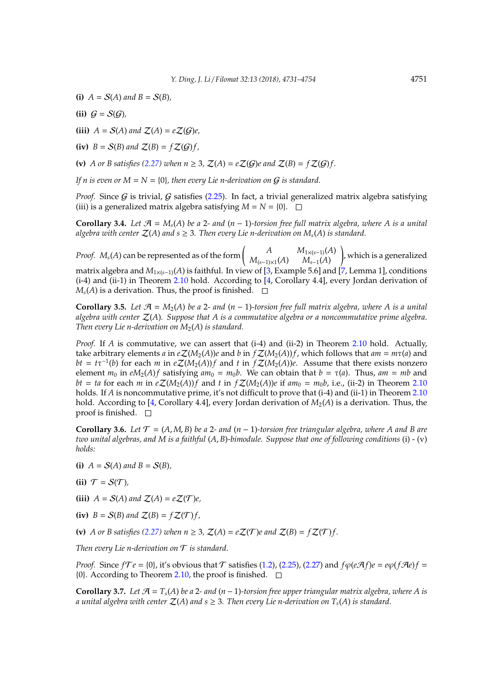- **(i)**  $A = S(A)$  and  $B = S(B)$ ,
- (ii)  $G = S(G)$ ,
- **(iii)**  $A = S(A)$  and  $Z(A) = eZ(G)e$ ,
- **(iv)**  $B = S(B)$  and  $\mathcal{Z}(B) = f\mathcal{Z}(G)f$ ,

**(v)** *A* or *B* satisfies [\(2.27\)](#page-11-0) when  $n \geq 3$ ,  $\mathcal{Z}(A) = e\mathcal{Z}(G)e$  and  $\mathcal{Z}(B) = f\mathcal{Z}(G)f$ .

*If n is even or*  $M = N = \{0\}$ , then every Lie n-derivation on G is standard.

*Proof.* Since  $G$  is trivial,  $G$  satisfies [\(2.25\)](#page-10-0). In fact, a trivial generalized matrix algebra satisfying (iii) is a generalized matrix algebra satisfying  $M = N = \{0\}$ .  $\Box$ 

<span id="page-20-1"></span>**Corollary 3.4.** *Let*  $\mathcal{A} = M_s(A)$  *be a* 2*- and* (*n* − 1)*-torsion free full matrix algebra, where* A *is a unital algebra with center*  $Z(A)$  *and*  $s \geq 3$ *. Then every Lie n-derivation on*  $M_s(A)$  *is standard.* 

*Proof.*  $M_s(A)$  can be represented as of the form  $\begin{pmatrix} A & M_{1\times (s-1)}(A) \\ M_{1\times (s-1)}(A) & M_{-s}(A) \end{pmatrix}$ *M*(*s*−1)×1(*A*) *Ms*−1(*A*) ! , which is a generalized matrix algebra and  $M_{1\times(s-1)}(A)$  is faithful. In view of [\[3,](#page-22-4) Example 5.6] and [\[7,](#page-22-3) Lemma 1], conditions (i-4) and (ii-1) in Theorem [2.10](#page-11-1) hold. According to [\[4,](#page-22-1) Corollary 4.4], every Jordan derivation of  $M<sub>s</sub>(A)$  is a derivation. Thus, the proof is finished.  $\square$ 

<span id="page-20-2"></span>**Corollary 3.5.** Let  $\mathcal{A} = M_2(A)$  be a 2*-* and  $(n-1)$ *-torsion free full matrix algebra, where A is a unital algebra with center* Z(*A*)*. Suppose that A is a commutative algebra or a noncommutative prime algebra. Then every Lie n-derivation on*  $M_2(A)$  *is standard.* 

*Proof.* If *A* is commutative, we can assert that (i-4) and (ii-2) in Theorem [2.10](#page-11-1) hold. Actually, take arbitrary elements *a* in  $eZ(M_2(A))$ *e* and *b* in  $fZ(M_2(A))$ *f*, which follows that  $am = m\tau(a)$  and  $bt = t\tau^{-1}(b)$  for each *m* in  $eZ(M_2(A))f$  and *t* in  $fZ(M_2(A))e$ . Assume that there exists nonzero element  $m_0$  in  $eM_2(A)f$  satisfying  $am_0 = m_0b$ . We can obtain that  $b = \tau(a)$ . Thus,  $am = mb$  and *bt* = *ta* for each *m* in  $eZ(M_2(A))$ *f* and *t* in  $fZ(M_2(A))$ *e* if  $am_0 = m_0b$ *,* i.e., (ii-2) in Theorem [2.10](#page-11-1) holds. If *A* is noncommutative prime, it's not difficult to prove that (i-4) and (ii-1) in Theorem [2.10](#page-11-1) hold. According to [\[4,](#page-22-1) Corollary 4.4], every Jordan derivation of  $M_2(A)$  is a derivation. Thus, the proof is finished.  $\Box$ 

<span id="page-20-3"></span>**Corollary 3.6.** *Let*  $\mathcal{T} = (A, M, B)$  *be a* 2*- and*  $(n - 1)$ *-torsion free triangular algebra, where* A and B are *two unital algebras, and M is a faithful* (*A*, *B*)*-bimodule. Suppose that one of following conditions* (i) - (v) *holds:*

- **(i)**  $A = S(A)$  and  $B = S(B)$ ,
- (ii)  $\mathcal{T} = \mathcal{S}(\mathcal{T})$ ,
- **(iii)**  $A = S(A)$  and  $Z(A) = eZ(T)e$ ,
- **(iv)**  $B = S(B)$  and  $Z(B) = fZ(T)f$ ,

**(v)** *A* or *B* satisfies [\(2.27\)](#page-11-0) when  $n \geq 3$ ,  $\mathcal{Z}(A) = e\mathcal{Z}(\mathcal{T})e$  and  $\mathcal{Z}(B) = f\mathcal{Z}(\mathcal{T})f$ .

*Then every Lie n-derivation on* T *is standard.*

*Proof.* Since  $fTe = \{0\}$ , it's obvious that  $\mathcal T$  satisfies [\(1.2\)](#page-1-1), [\(2.25\)](#page-10-0), [\(2.27\)](#page-11-0) and  $f\phi(e\mathcal{A}f)e = e\phi(f\mathcal{A}e)f$  $\{0\}$ . According to Theorem [2.10,](#page-11-1) the proof is finished.  $\square$ 

<span id="page-20-0"></span>**Corollary 3.7.** *Let*  $\mathcal{A} = T_s(A)$  *be a* 2*-* and  $(n-1)$ *-torsion free upper triangular matrix algebra, where* A is *a unital algebra with center*  $\mathcal{Z}(A)$  *and*  $s \geq 3$ *. Then every Lie n-derivation on*  $T_s(A)$  *is standard.*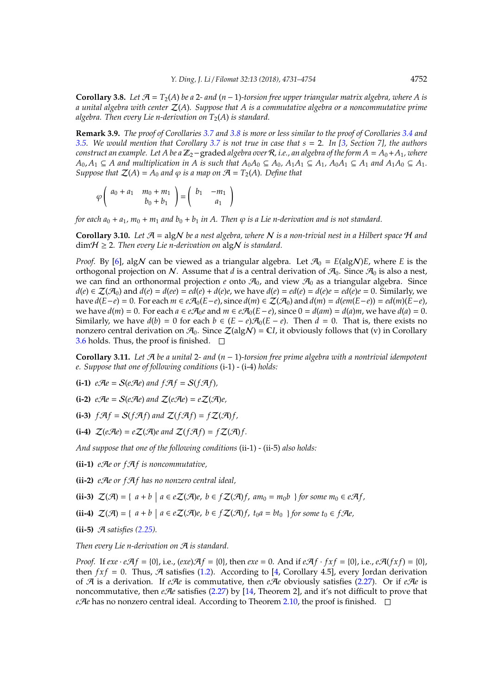<span id="page-21-0"></span>**Corollary 3.8.** Let  $\mathcal{A} = T_2(A)$  be a 2- and  $(n-1)$ -torsion free upper triangular matrix algebra, where A is *a unital algebra with center* Z(*A*)*. Suppose that A is a commutative algebra or a noncommutative prime algebra. Then every Lie n-derivation on*  $T_2(A)$  *is standard.* 

**Remark 3.9.** *The proof of Corollaries [3.7](#page-20-0) and [3.8](#page-21-0) is more or less similar to the proof of Corollaries [3.4](#page-20-1) and [3.5.](#page-20-2) We would mention that Corollary [3.7](#page-20-0) is not true in case that s* = 2*. In [\[3,](#page-22-4) Section 7], the authors construct an example. Let A be a*  $\mathbb{Z}_2$ -graded *algebra over*  $\mathcal{R}$ *, i.e., an algebra of the form*  $A = A_0 + A_1$ *, where*  $A_0, A_1 \subseteq A$  and multiplication in A is such that  $A_0A_0 \subseteq A_0$ ,  $A_1A_1 \subseteq A_1$ ,  $A_0A_1 \subseteq A_1$  and  $A_1A_0 \subseteq A_1$ . *Suppose that*  $\mathcal{Z}(A) = A_0$  *and*  $\varphi$  *is a map on*  $\mathcal{A} = T_2(A)$ *. Define that* 

$$
\varphi\left(\begin{array}{cc}a_0+a_1&m_0+m_1\\b_0+b_1\end{array}\right)=\left(\begin{array}{cc}b_1&-m_1\\a_1\end{array}\right)
$$

*for each*  $a_0 + a_1$ *,*  $m_0 + m_1$  *and*  $b_0 + b_1$  *in A. Then*  $\varphi$  *is a Lie n-derivation and is not standard.* 

<span id="page-21-2"></span>**Corollary 3.10.** Let  $\mathcal{A} = \text{algN}$  be a nest algebra, where N is a non-trivial nest in a Hilbert space H and  $\dim \mathcal{H} \geq 2$ . Then every Lie n-derivation on  $\text{alg} \mathcal{N}$  is standard.

*Proof.* By [\[6\]](#page-22-5), algN can be viewed as a triangular algebra. Let  $\mathcal{A}_0 = E(\text{algN})E$ , where *E* is the orthogonal projection on N. Assume that *d* is a central derivation of  $\mathcal{A}_0$ . Since  $\mathcal{A}_0$  is also a nest, we can find an orthonormal projection  $e$  onto  $\mathcal{A}_0$ , and view  $\mathcal{A}_0$  as a triangular algebra. Since  $d(e) \in \mathcal{Z}(\mathcal{A}_0)$  and  $d(e) = d(ee) = ed(e) + d(e)e$ , we have  $d(e) = ed(e) = d(e)e = ed(e)e = 0$ . Similarly, we have  $d(E-e) = 0$ . For each  $m \in e\mathcal{A}_0(E-e)$ , since  $d(m) \in \mathcal{Z}(\mathcal{A}_0)$  and  $d(m) = d(em(E-e)) = ed(m)(E-e)$ , *we have*  $d(m) = 0$ *. For each*  $a \in e\mathcal{A}_0e$  *and*  $m \in e\mathcal{A}_0(E-e)$ *, since*  $0 = d(am) = d(a)m$ *, we have*  $d(a) = 0$ *.* Similarly, we have  $d(b) = 0$  for each  $b \in (E - e)\mathcal{A}_0(E - e)$ . Then  $d = 0$ . That is, there exists no nonzero central derivation on  $\mathcal{A}_0$ . Since  $\mathcal{Z}(alg\mathcal{N}) = \mathbb{C}I$ , it obviously follows that (v) in Corollary [3.6](#page-20-3) holds. Thus, the proof is finished.  $\square$ 

<span id="page-21-1"></span>**Corollary 3.11.** *Let* A *be a unital* 2*- and* (*n* − 1)*-torsion free prime algebra with a nontrivial idempotent e. Suppose that one of following conditions* (i-1) - (i-4) *holds:*

- **(i-1)**  $e\mathcal{A}e = \mathcal{S}(e\mathcal{A}e)$  and  $f\mathcal{A}f = \mathcal{S}(f\mathcal{A}f)$ ,
- **(i-2)**  $e\mathcal{A}e = \mathcal{S}(e\mathcal{A}e)$  and  $\mathcal{Z}(e\mathcal{A}e) = e\mathcal{Z}(\mathcal{A})e$ ,
- **(i-3)**  $f \mathcal{A} f = S(f \mathcal{A} f)$  and  $Z(f \mathcal{A} f) = f Z(\mathcal{A}) f$ ,

**(i-4)**  $\mathcal{Z}(e\mathcal{A}e) = e\mathcal{Z}(\mathcal{A})e$  and  $\mathcal{Z}(f\mathcal{A}f) = f\mathcal{Z}(\mathcal{A})f$ .

*And suppose that one of the following conditions* (ii-1) - (ii-5) *also holds:*

**(ii-1)** *e*A*e or f*A*f is noncommutative,*

**(ii-2)** *e*A*e or f*A*f has no nonzero central ideal,*

**(ii-3)**  $\mathcal{Z}(\mathcal{A}) = \{ a + b \mid a \in e\mathcal{Z}(\mathcal{A})e, b \in f\mathcal{Z}(\mathcal{A})f, am_0 = m_0b \}$  for some  $m_0 \in e\mathcal{A}f$ ,

**(ii-4)**  $\mathcal{Z}(\mathcal{A}) = \{ a + b \mid a \in e\mathcal{Z}(\mathcal{A})e, b \in f\mathcal{Z}(\mathcal{A})f, t_0a = bt_0 \}$  for some  $t_0 \in f\mathcal{A}e$ ,

**(ii-5)** A *satisfies [\(2.25\)](#page-10-0).*

*Then every Lie n-derivation on* A *is standard.*

*Proof.* If  $exe \cdot e\mathcal{A}f = \{0\}$ , i.e.,  $(exe)\mathcal{A}f = \{0\}$ , then  $exe = 0$ . And if  $e\mathcal{A}f \cdot fxf = \{0\}$ , i.e.,  $e\mathcal{A}(fxf) = \{0\}$ , then  $fxf = 0$ . Thus, A satisfies [\(1.2\)](#page-1-1). According to [\[4,](#page-22-1) Corollary 4.5], every Jordan derivation of A is a derivation. If *e*A*e* is commutative, then *e*A*e* obviously satisfies [\(2.27\)](#page-11-0). Or if *e*A*e* is noncommutative, then *eAe* satisfies [\(2.27\)](#page-11-0) by [\[14,](#page-23-4) Theorem 2], and it's not difficult to prove that *e* $\mathcal A$ *e* has no nonzero central ideal. According to Theorem [2.10,](#page-11-1) the proof is finished.  $\square$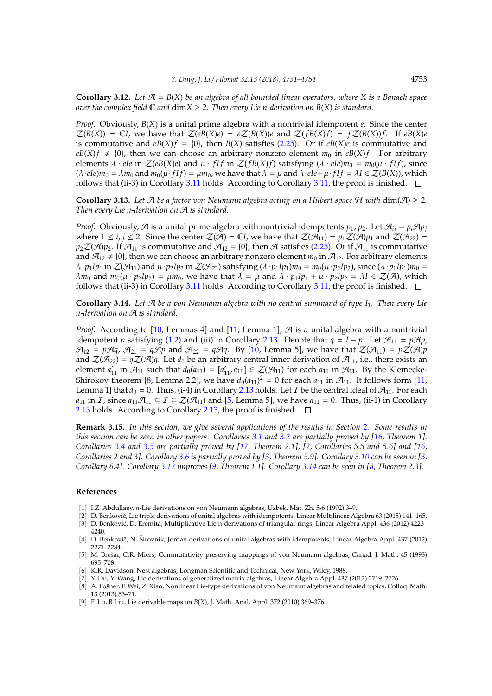<span id="page-22-8"></span>**Corollary 3.12.** Let  $\mathcal{A} = B(X)$  be an algebra of all bounded linear operators, where X is a Banach space *over the complex field*  $\mathbb{C}$  *and*  $\dim X \geq 2$ *. Then every Lie n-derivation on*  $B(X)$  *is standard.* 

*Proof.* Obviously, *B*(*X*) is a unital prime algebra with a nontrivial idempotent *e*. Since the center  $\mathcal{Z}(B(X)) = \mathbb{C}I$ , we have that  $\mathcal{Z}(eB(X)e) = e\mathcal{Z}(B(X))e$  and  $\mathcal{Z}(fB(X)f) = f\mathcal{Z}(B(X))f$ . If  $eB(X)e$ is commutative and  $eB(X)f = \{0\}$ , then  $B(X)$  satisfies [\(2.25\)](#page-10-0). Or if  $eB(X)e$  is commutative and  $eB(X)f \neq \{0\}$ , then we can choose an arbitrary nonzero element  $m_0$  in  $eB(X)f$ . For arbitrary elements  $\lambda \cdot eIe$  in  $\mathcal{Z}(eB(X)e)$  and  $\mu \cdot fIf$  in  $\mathcal{Z}(fB(X)f)$  satisfying  $(\lambda \cdot eIe)m_0 = m_0(\mu \cdot fIf)$ , since  $(\lambda \cdot \text{ele})m_0 = \lambda m_0$  and  $m_0(\mu \cdot \text{ff}) = \mu m_0$ , we have that  $\lambda = \mu$  and  $\lambda \cdot \text{ele} + \mu \cdot \text{ff} = \lambda I \in \mathcal{Z}(B(X))$ , which follows that (ii-3) in Corollary [3.11](#page-21-1) holds. According to Corollary [3.11,](#page-21-1) the proof is finished.  $\Box$ 

**Corollary 3.13.** *Let*  $\mathcal{A}$  *be a factor von Neumann algebra acting on a Hilbert space*  $\mathcal{H}$  *with* dim( $\mathcal{A}$ )  $\geq$  2*. Then every Lie n-derivation on* A *is standard.*

*Proof.* Obviously, A is a unital prime algebra with nontrivial idempotents  $p_1$ ,  $p_2$ . Let  $\mathcal{A}_{ij} = p_i \mathcal{A} p_j$ where  $1 \le i, j \le 2$ . Since the center  $\mathcal{Z}(\mathcal{A}) = \mathbb{C}I$ , we have that  $\mathcal{Z}(\mathcal{A}_{11}) = p_1 \mathcal{Z}(\mathcal{A})p_1$  and  $\mathcal{Z}(\mathcal{A}_{22}) =$  $p_2\mathcal{Z}(\mathcal{A})p_2$ . If  $\mathcal{A}_{11}$  is commutative and  $\mathcal{A}_{12} = \{0\}$ , then  $\mathcal{A}$  satisfies [\(2.25\)](#page-10-0). Or if  $\mathcal{A}_{11}$  is commutative and  $\mathcal{A}_{12} \neq \{0\}$ , then we can choose an arbitrary nonzero element  $m_0$  in  $\mathcal{A}_{12}$ . For arbitrary elements  $\lambda \cdot p_1 I p_1$  in  $\mathcal{Z}(\mathcal{A}_{11})$  and  $\mu \cdot p_2 I p_2$  in  $\mathcal{Z}(\mathcal{A}_{22})$  satisfying  $(\lambda \cdot p_1 I p_1) m_0 = m_0(\mu \cdot p_2 I p_2)$ , since  $(\lambda \cdot p_1 I p_1) m_0 =$  $λm_0$  and  $m_0(μ ⋅ p_2/p_2) = μm_0$ , we have that  $λ = μ$  and  $λ ⋅ p_1/p_1 + μ ⋅ p_2/p_2 = λI ∈ Z(β)$ , which follows that (ii-3) in Corollary [3.11](#page-21-1) holds. According to Corollary [3.11,](#page-21-1) the proof is finished.  $\Box$ 

<span id="page-22-10"></span>**Corollary 3.14.** *Let* A *be a von Neumann algebra with no central summand of type I*1*. Then every Lie n-derivation on* A *is standard.*

*Proof.* According to [\[10,](#page-23-5) Lemmas 4] and [\[11,](#page-23-6) Lemma 1],  $\mathcal{A}$  is a unital algebra with a nontrivial idempotent *p* satisfying [\(1.2\)](#page-1-1) and (iii) in Corollary [2.13.](#page-12-0) Denote that  $q = I - p$ . Let  $\mathcal{A}_{11} = p\mathcal{A}p$ ,  $\mathcal{A}_{12} = p\mathcal{A}q$ ,  $\mathcal{A}_{21} = q\mathcal{A}p$  and  $\mathcal{A}_{22} = q\mathcal{A}q$ . By [\[10,](#page-23-5) Lemma 5], we have that  $\mathcal{Z}(\mathcal{A}_{11}) = p\mathcal{Z}(\mathcal{A})p$ and  $\mathcal{Z}(\mathcal{A}_{22}) = q\mathcal{Z}(\mathcal{A})q$ . Let  $d_0$  be an arbitrary central inner derivation of  $\mathcal{A}_{11}$ , i.e., there exists an element  $a'_{11}$  in  $\mathcal{A}_{11}$  such that  $d_0(a_{11}) = [a'_{11}, a_{11}] \in \mathcal{Z}(\mathcal{A}_{11})$  for each  $a_{11}$  in  $\mathcal{A}_{11}$ . By the Kleinecke-Shirokov theorem [\[8,](#page-22-6) Lemma 2.2], we have  $d_0(a_{11})^2 = 0$  for each  $a_{11}$  in  $\mathcal{A}_{11}$ . It follows form [\[11,](#page-23-6) Lemma 1] that  $d_0 = 0$ . Thus, (i-4) in Corollary [2.13](#page-12-0) holds. Let *I* be the central ideal of  $\mathcal{A}_{11}$ . For each *a*<sub>11</sub> in *I*, since *a*<sub>11</sub> $\mathcal{A}_{11} \subseteq I \subseteq \mathcal{Z}(\mathcal{A}_{11})$  and [\[5,](#page-22-7) Lemma 5], we have *a*<sub>11</sub> = 0. Thus, (ii-1) in Corollary [2.13](#page-12-0) holds. According to Corollary [2.13,](#page-12-0) the proof is finished.  $\square$ 

**Remark 3.15.** *In this section, we give several applications of the results in Section [2.](#page-2-0) Some results in this section can be seen in other papers. Corollaries [3.1](#page-19-1) and [3.2](#page-19-2) are partially proved by [\[16,](#page-23-3) Theorem 1]. Corollaries [3.4](#page-20-1) and [3.5](#page-20-2) are partially proved by [\[17,](#page-23-7) Theorem 2.1], [\[2,](#page-22-2) Corollaries 5.5 and 5.6] and [\[16,](#page-23-3) Corollaries 2 and 3]. Corollary [3.6](#page-20-3) is partially proved by [\[3,](#page-22-4) Theorem 5.9]. Corollary [3.10](#page-21-2) can be seen in [\[3,](#page-22-4) Corollary 6.4]. Corollary [3.12](#page-22-8) improves [\[9,](#page-22-9) Theorem 1.1]. Corollary [3.14](#page-22-10) can be seen in [\[8,](#page-22-6) Theorem 2.3].*

### **References**

- <span id="page-22-0"></span>[1] I.Z. Abdullaev, *n*-Lie derivations on von Neumann algebras, Uzbek. Mat. Zh. 5-6 (1992) 3–9.
- <span id="page-22-4"></span><span id="page-22-2"></span>[2] D. Benkovič, Lie triple derivations of unital algebras with idempotents, Linear Multilinear Algebra 63 (2015) 141-165. [3] D. Benkovič, D. Eremita, Multiplicative Lie n-derivations of triangular rings, Linear Algebra Appl. 436 (2012) 4223–
- 4240.
- <span id="page-22-1"></span>[4] D. Benkovič, N. Širovnik, Jordan derivations of unital algebras with idempotents, Linear Algebra Appl. 437 (2012) 2271–2284.
- <span id="page-22-7"></span>[5] M. Brešar, C.R. Miers, Commutativity preserving mappings of von Neumann algebras, Canad. J. Math. 45 (1993) 695–708.
- <span id="page-22-5"></span>[6] K.R. Davidson, Nest algebras, Longman Scientific and Technical, New York, Wiley, 1988.
- <span id="page-22-3"></span>[7] Y. Du, Y. Wang, Lie derivations of generalized matrix algebras, Linear Algebra Appl. 437 (2012) 2719–2726.
- <span id="page-22-6"></span>[8] A. Fošner, F. Wei, Z. Xiao, Nonlinear Lie-type derivations of von Neumann algebras and related topics, Colloq. Math. 13 (2013) 53–71.
- <span id="page-22-9"></span>[9] F. Lu, B Liu, Lie derivable maps on *B*(*X*), J. Math. Anal. Appl. 372 (2010) 369–376.